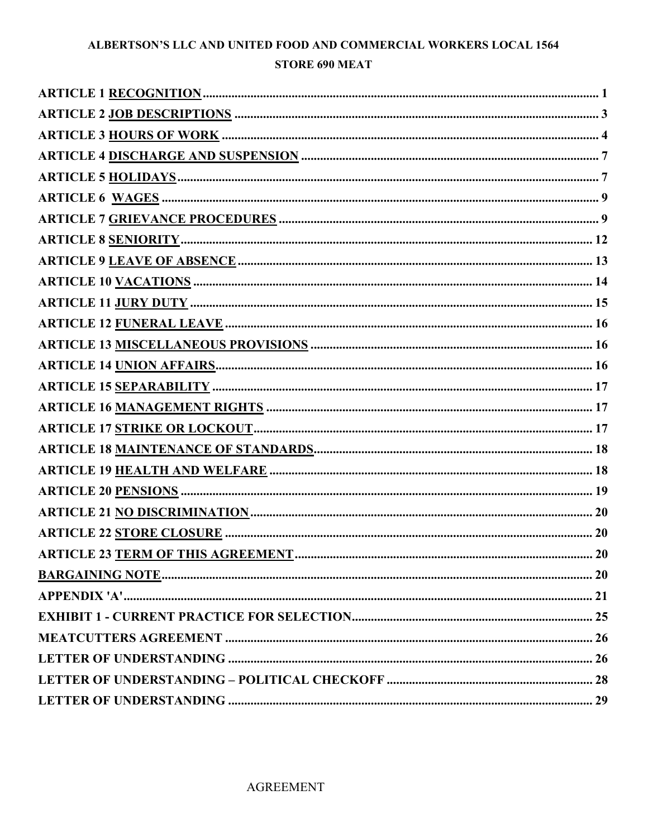# ALBERTSON'S LLC AND UNITED FOOD AND COMMERCIAL WORKERS LOCAL 1564 **STORE 690 MEAT**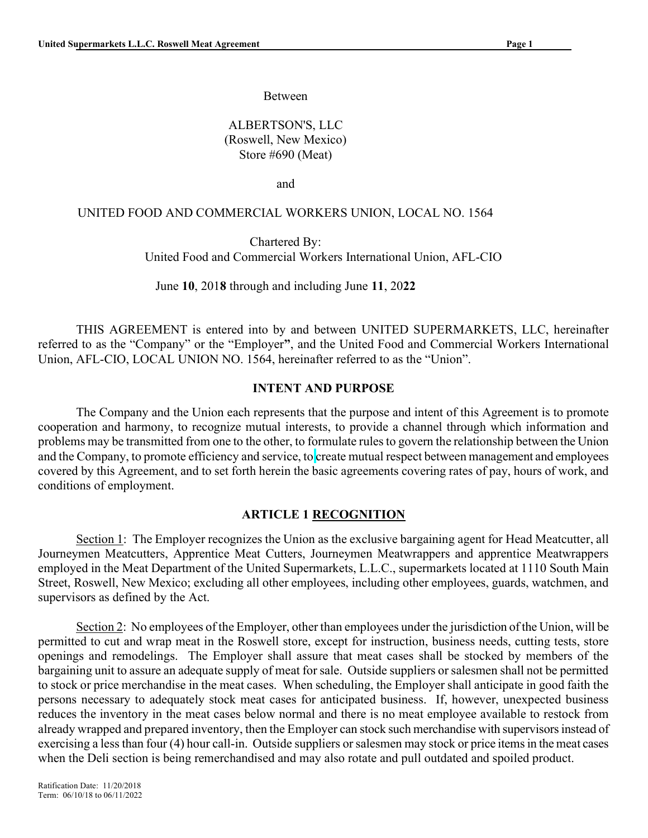Between

 ALBERTSON'S, LLC (Roswell, New Mexico) Store #690 (Meat)

**and and and** 

#### UNITED FOOD AND COMMERCIAL WORKERS UNION, LOCAL NO. 1564

 Chartered By: United Food and Commercial Workers International Union, AFL-CIO

June 10, 2018 through and including June 11, 2022

THIS AGREEMENT is entered into by and between UNITED SUPERMARKETS, LLC, hereinafter referred to as the "Company" or the "Employer", and the United Food and Commercial Workers International Union, AFL-CIO, LOCAL UNION NO. 1564, hereinafter referred to as the "Union".

#### INTENT AND PURPOSE

The Company and the Union each represents that the purpose and intent of this Agreement is to promote cooperation and harmony, to recognize mutual interests, to provide a channel through which information and problems may be transmitted from one to the other, to formulate rules to govern the relationship between the Union and the Company, to promote efficiency and service, to create mutual respect between management and employees covered by this Agreement, and to set forth herein the basic agreements covering rates of pay, hours of work, and conditions of employment.

#### ARTICLE 1 RECOGNITION

Section 1: The Employer recognizes the Union as the exclusive bargaining agent for Head Meatcutter, all Journeymen Meatcutters, Apprentice Meat Cutters, Journeymen Meatwrappers and apprentice Meatwrappers employed in the Meat Department of the United Supermarkets, L.L.C., supermarkets located at 1110 South Main Street, Roswell, New Mexico; excluding all other employees, including other employees, guards, watchmen, and supervisors as defined by the Act.

Section 2: No employees of the Employer, other than employees under the jurisdiction of the Union, will be permitted to cut and wrap meat in the Roswell store, except for instruction, business needs, cutting tests, store openings and remodelings. The Employer shall assure that meat cases shall be stocked by members of the bargaining unit to assure an adequate supply of meat for sale. Outside suppliers or salesmen shall not be permitted to stock or price merchandise in the meat cases. When scheduling, the Employer shall anticipate in good faith the persons necessary to adequately stock meat cases for anticipated business. If, however, unexpected business reduces the inventory in the meat cases below normal and there is no meat employee available to restock from already wrapped and prepared inventory, then the Employer can stock such merchandise with supervisors instead of exercising a less than four (4) hour call-in. Outside suppliers or salesmen may stock or price items in the meat cases when the Deli section is being remerchandised and may also rotate and pull outdated and spoiled product.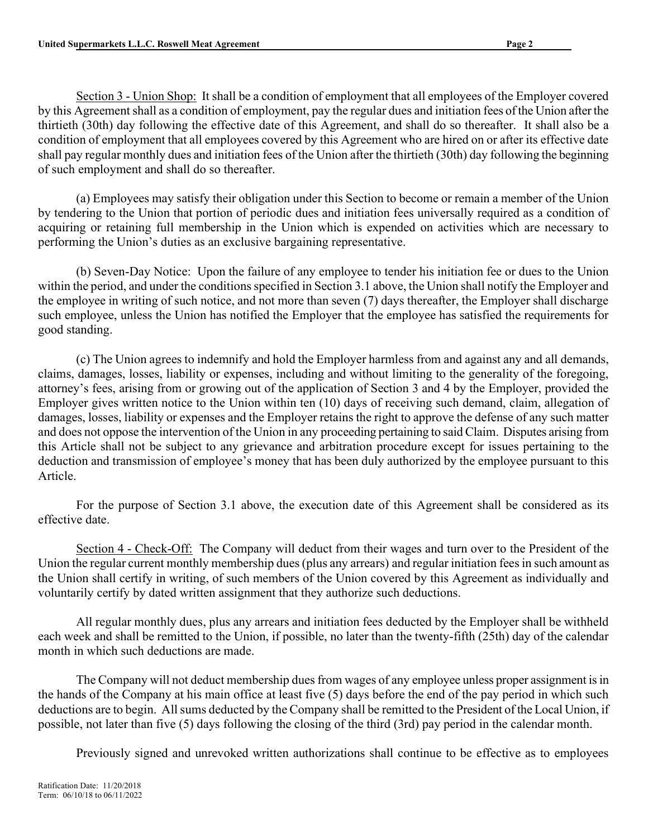Section 3 - Union Shop: It shall be a condition of employment that all employees of the Employer covered by this Agreement shall as a condition of employment, pay the regular dues and initiation fees of the Union after the thirtieth (30th) day following the effective date of this Agreement, and shall do so thereafter. It shall also be a condition of employment that all employees covered by this Agreement who are hired on or after its effective date shall pay regular monthly dues and initiation fees of the Union after the thirtieth (30th) day following the beginning of such employment and shall do so thereafter.

(a) Employees may satisfy their obligation under this Section to become or remain a member of the Union by tendering to the Union that portion of periodic dues and initiation fees universally required as a condition of acquiring or retaining full membership in the Union which is expended on activities which are necessary to performing the Union's duties as an exclusive bargaining representative.

(b) Seven-Day Notice: Upon the failure of any employee to tender his initiation fee or dues to the Union within the period, and under the conditions specified in Section 3.1 above, the Union shall notify the Employer and the employee in writing of such notice, and not more than seven (7) days thereafter, the Employer shall discharge such employee, unless the Union has notified the Employer that the employee has satisfied the requirements for good standing.

(c) The Union agrees to indemnify and hold the Employer harmless from and against any and all demands, claims, damages, losses, liability or expenses, including and without limiting to the generality of the foregoing, attorney's fees, arising from or growing out of the application of Section 3 and 4 by the Employer, provided the Employer gives written notice to the Union within ten (10) days of receiving such demand, claim, allegation of damages, losses, liability or expenses and the Employer retains the right to approve the defense of any such matter and does not oppose the intervention of the Union in any proceeding pertaining to said Claim. Disputes arising from this Article shall not be subject to any grievance and arbitration procedure except for issues pertaining to the deduction and transmission of employee's money that has been duly authorized by the employee pursuant to this Article.

For the purpose of Section 3.1 above, the execution date of this Agreement shall be considered as its effective date.

Section 4 - Check-Off: The Company will deduct from their wages and turn over to the President of the Union the regular current monthly membership dues (plus any arrears) and regular initiation fees in such amount as the Union shall certify in writing, of such members of the Union covered by this Agreement as individually and voluntarily certify by dated written assignment that they authorize such deductions.

All regular monthly dues, plus any arrears and initiation fees deducted by the Employer shall be withheld each week and shall be remitted to the Union, if possible, no later than the twenty-fifth (25th) day of the calendar month in which such deductions are made.

The Company will not deduct membership dues from wages of any employee unless proper assignment is in the hands of the Company at his main office at least five (5) days before the end of the pay period in which such deductions are to begin. All sums deducted by the Company shall be remitted to the President of the Local Union, if possible, not later than five (5) days following the closing of the third (3rd) pay period in the calendar month.

Previously signed and unrevoked written authorizations shall continue to be effective as to employees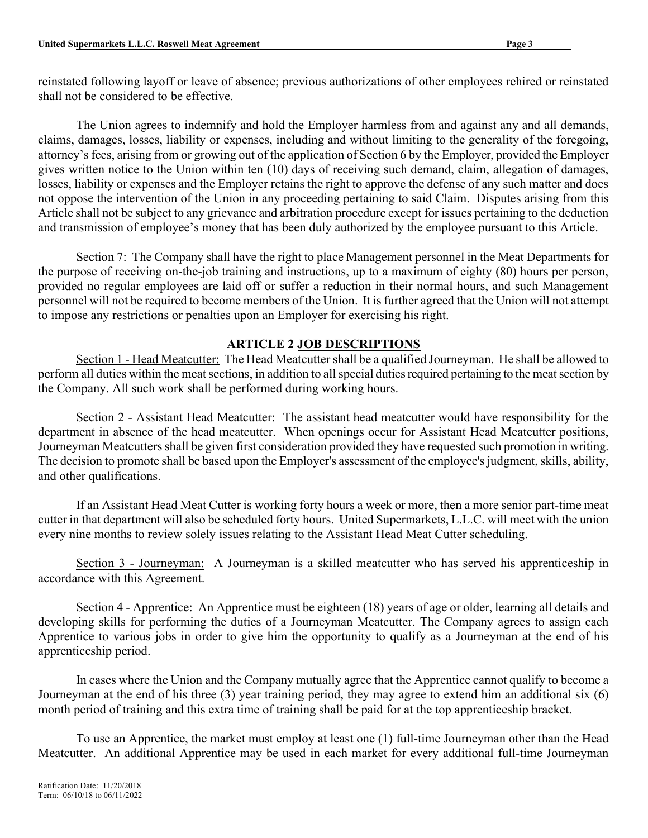reinstated following layoff or leave of absence; previous authorizations of other employees rehired or reinstated shall not be considered to be effective.

The Union agrees to indemnify and hold the Employer harmless from and against any and all demands, claims, damages, losses, liability or expenses, including and without limiting to the generality of the foregoing, attorney's fees, arising from or growing out of the application of Section 6 by the Employer, provided the Employer gives written notice to the Union within ten (10) days of receiving such demand, claim, allegation of damages, losses, liability or expenses and the Employer retains the right to approve the defense of any such matter and does not oppose the intervention of the Union in any proceeding pertaining to said Claim. Disputes arising from this Article shall not be subject to any grievance and arbitration procedure except for issues pertaining to the deduction and transmission of employee's money that has been duly authorized by the employee pursuant to this Article.

Section 7: The Company shall have the right to place Management personnel in the Meat Departments for the purpose of receiving on-the-job training and instructions, up to a maximum of eighty (80) hours per person, provided no regular employees are laid off or suffer a reduction in their normal hours, and such Management personnel will not be required to become members of the Union. It is further agreed that the Union will not attempt to impose any restrictions or penalties upon an Employer for exercising his right.

## ARTICLE 2 JOB DESCRIPTIONS

Section 1 - Head Meatcutter: The Head Meatcutter shall be a qualified Journeyman. He shall be allowed to perform all duties within the meat sections, in addition to all special duties required pertaining to the meat section by the Company. All such work shall be performed during working hours.

Section 2 - Assistant Head Meatcutter: The assistant head meatcutter would have responsibility for the department in absence of the head meatcutter. When openings occur for Assistant Head Meatcutter positions, Journeyman Meatcutters shall be given first consideration provided they have requested such promotion in writing. The decision to promote shall be based upon the Employer's assessment of the employee's judgment, skills, ability, and other qualifications.

If an Assistant Head Meat Cutter is working forty hours a week or more, then a more senior part-time meat cutter in that department will also be scheduled forty hours. United Supermarkets, L.L.C. will meet with the union every nine months to review solely issues relating to the Assistant Head Meat Cutter scheduling.

Section 3 - Journeyman: A Journeyman is a skilled meatcutter who has served his apprenticeship in accordance with this Agreement.

Section 4 - Apprentice: An Apprentice must be eighteen (18) years of age or older, learning all details and developing skills for performing the duties of a Journeyman Meatcutter. The Company agrees to assign each Apprentice to various jobs in order to give him the opportunity to qualify as a Journeyman at the end of his apprenticeship period.

In cases where the Union and the Company mutually agree that the Apprentice cannot qualify to become a Journeyman at the end of his three (3) year training period, they may agree to extend him an additional six (6) month period of training and this extra time of training shall be paid for at the top apprenticeship bracket.

To use an Apprentice, the market must employ at least one (1) full-time Journeyman other than the Head Meatcutter. An additional Apprentice may be used in each market for every additional full-time Journeyman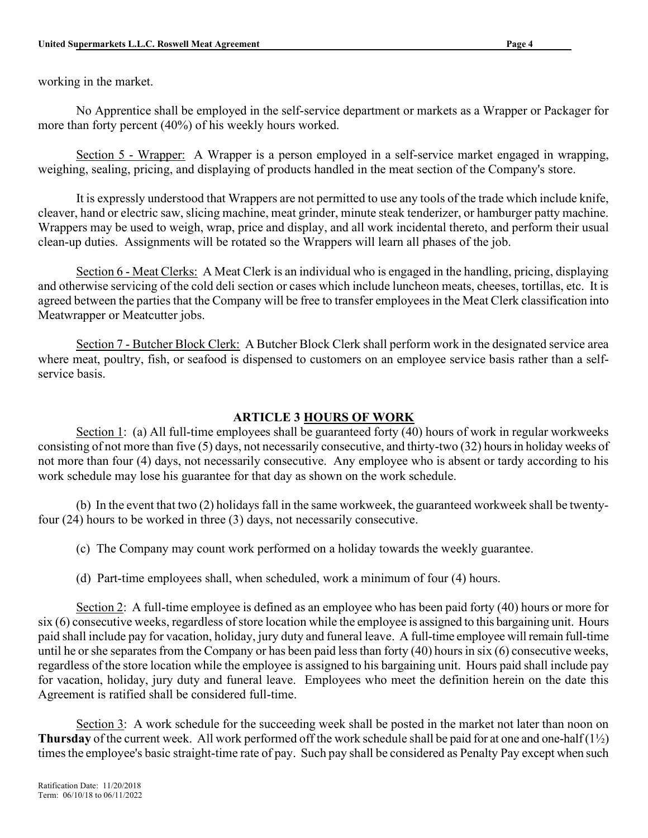working in the market.

No Apprentice shall be employed in the self-service department or markets as a Wrapper or Packager for more than forty percent (40%) of his weekly hours worked.

Section 5 - Wrapper: A Wrapper is a person employed in a self-service market engaged in wrapping, weighing, sealing, pricing, and displaying of products handled in the meat section of the Company's store.

It is expressly understood that Wrappers are not permitted to use any tools of the trade which include knife, cleaver, hand or electric saw, slicing machine, meat grinder, minute steak tenderizer, or hamburger patty machine. Wrappers may be used to weigh, wrap, price and display, and all work incidental thereto, and perform their usual clean-up duties. Assignments will be rotated so the Wrappers will learn all phases of the job.

Section 6 - Meat Clerks: A Meat Clerk is an individual who is engaged in the handling, pricing, displaying and otherwise servicing of the cold deli section or cases which include luncheon meats, cheeses, tortillas, etc. It is agreed between the parties that the Company will be free to transfer employees in the Meat Clerk classification into Meatwrapper or Meatcutter jobs.

Section 7 - Butcher Block Clerk: A Butcher Block Clerk shall perform work in the designated service area where meat, poultry, fish, or seafood is dispensed to customers on an employee service basis rather than a selfservice basis.

# ARTICLE 3 HOURS OF WORK

Section 1: (a) All full-time employees shall be guaranteed forty (40) hours of work in regular workweeks consisting of not more than five (5) days, not necessarily consecutive, and thirty-two (32) hours in holiday weeks of not more than four (4) days, not necessarily consecutive. Any employee who is absent or tardy according to his work schedule may lose his guarantee for that day as shown on the work schedule.

(b) In the event that two (2) holidays fall in the same workweek, the guaranteed workweek shall be twentyfour (24) hours to be worked in three (3) days, not necessarily consecutive.

(c) The Company may count work performed on a holiday towards the weekly guarantee.

(d) Part-time employees shall, when scheduled, work a minimum of four (4) hours.

Section 2: A full-time employee is defined as an employee who has been paid forty (40) hours or more for six (6) consecutive weeks, regardless of store location while the employee is assigned to this bargaining unit. Hours paid shall include pay for vacation, holiday, jury duty and funeral leave. A full-time employee will remain full-time until he or she separates from the Company or has been paid less than forty (40) hours in six (6) consecutive weeks, regardless of the store location while the employee is assigned to his bargaining unit. Hours paid shall include pay for vacation, holiday, jury duty and funeral leave. Employees who meet the definition herein on the date this Agreement is ratified shall be considered full-time.

Section 3: A work schedule for the succeeding week shall be posted in the market not later than noon on **Thursday** of the current week. All work performed off the work schedule shall be paid for at one and one-half  $(1\frac{1}{2})$ times the employee's basic straight-time rate of pay. Such pay shall be considered as Penalty Pay except when such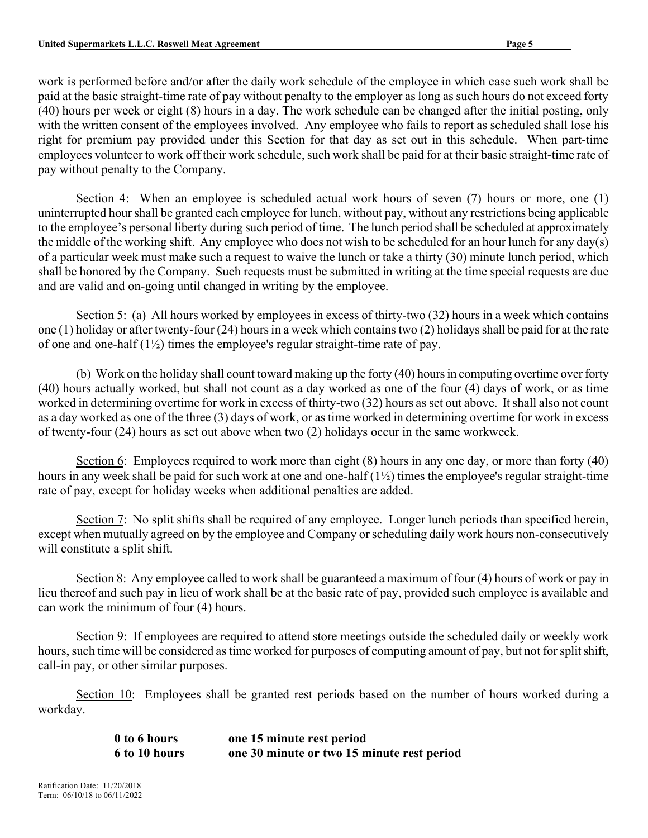work is performed before and/or after the daily work schedule of the employee in which case such work shall be paid at the basic straight-time rate of pay without penalty to the employer as long as such hours do not exceed forty (40) hours per week or eight (8) hours in a day. The work schedule can be changed after the initial posting, only with the written consent of the employees involved. Any employee who fails to report as scheduled shall lose his right for premium pay provided under this Section for that day as set out in this schedule. When part-time employees volunteer to work off their work schedule, such work shall be paid for at their basic straight-time rate of pay without penalty to the Company.

Section 4: When an employee is scheduled actual work hours of seven (7) hours or more, one (1) uninterrupted hour shall be granted each employee for lunch, without pay, without any restrictions being applicable to the employee's personal liberty during such period of time. The lunch period shall be scheduled at approximately the middle of the working shift. Any employee who does not wish to be scheduled for an hour lunch for any day(s) of a particular week must make such a request to waive the lunch or take a thirty (30) minute lunch period, which shall be honored by the Company. Such requests must be submitted in writing at the time special requests are due and are valid and on-going until changed in writing by the employee.

Section 5: (a) All hours worked by employees in excess of thirty-two (32) hours in a week which contains one (1) holiday or after twenty-four (24) hours in a week which contains two (2) holidays shall be paid for at the rate of one and one-half  $(1\frac{1}{2})$  times the employee's regular straight-time rate of pay.

(b) Work on the holiday shall count toward making up the forty (40) hours in computing overtime over forty (40) hours actually worked, but shall not count as a day worked as one of the four (4) days of work, or as time worked in determining overtime for work in excess of thirty-two (32) hours as set out above. It shall also not count as a day worked as one of the three (3) days of work, or as time worked in determining overtime for work in excess of twenty-four (24) hours as set out above when two (2) holidays occur in the same workweek.

Section 6: Employees required to work more than eight (8) hours in any one day, or more than forty (40) hours in any week shall be paid for such work at one and one-half (1½) times the employee's regular straight-time rate of pay, except for holiday weeks when additional penalties are added.

Section 7: No split shifts shall be required of any employee. Longer lunch periods than specified herein, except when mutually agreed on by the employee and Company or scheduling daily work hours non-consecutively will constitute a split shift.

Section 8: Any employee called to work shall be guaranteed a maximum of four (4) hours of work or pay in lieu thereof and such pay in lieu of work shall be at the basic rate of pay, provided such employee is available and can work the minimum of four (4) hours.

Section 9: If employees are required to attend store meetings outside the scheduled daily or weekly work hours, such time will be considered as time worked for purposes of computing amount of pay, but not for split shift, call-in pay, or other similar purposes.

Section 10: Employees shall be granted rest periods based on the number of hours worked during a workday.

> 0 to 6 hours one 15 minute rest period 6 to 10 hours one 30 minute or two 15 minute rest period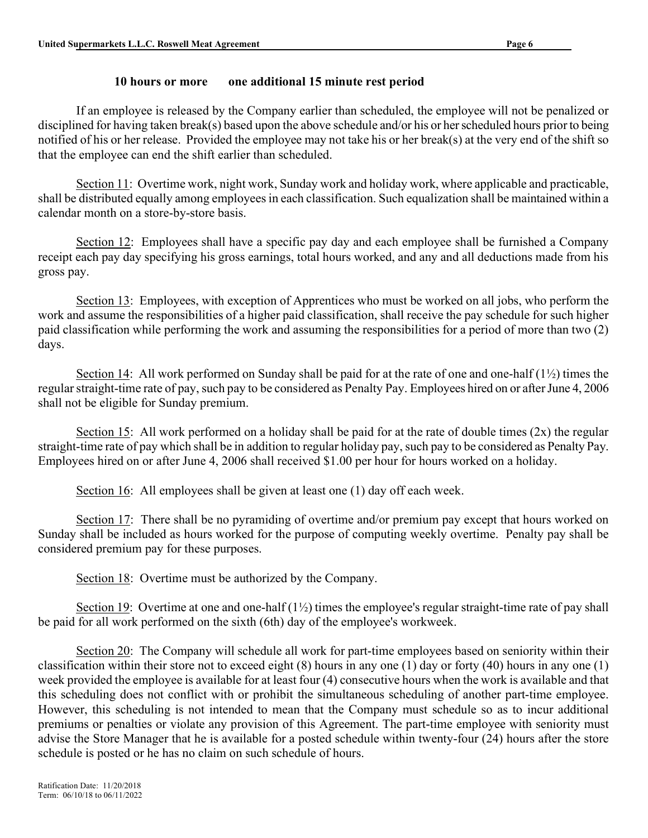#### 10 hours or more one additional 15 minute rest period

 If an employee is released by the Company earlier than scheduled, the employee will not be penalized or disciplined for having taken break(s) based upon the above schedule and/or his or her scheduled hours prior to being notified of his or her release. Provided the employee may not take his or her break(s) at the very end of the shift so that the employee can end the shift earlier than scheduled.

Section 11: Overtime work, night work, Sunday work and holiday work, where applicable and practicable, shall be distributed equally among employees in each classification. Such equalization shall be maintained within a calendar month on a store-by-store basis.

Section 12: Employees shall have a specific pay day and each employee shall be furnished a Company receipt each pay day specifying his gross earnings, total hours worked, and any and all deductions made from his gross pay.

Section 13: Employees, with exception of Apprentices who must be worked on all jobs, who perform the work and assume the responsibilities of a higher paid classification, shall receive the pay schedule for such higher paid classification while performing the work and assuming the responsibilities for a period of more than two (2) days.

Section 14: All work performed on Sunday shall be paid for at the rate of one and one-half (1½) times the regular straight-time rate of pay, such pay to be considered as Penalty Pay. Employees hired on or after June 4, 2006 shall not be eligible for Sunday premium.

Section 15: All work performed on a holiday shall be paid for at the rate of double times (2x) the regular straight-time rate of pay which shall be in addition to regular holiday pay, such pay to be considered as Penalty Pay. Employees hired on or after June 4, 2006 shall received \$1.00 per hour for hours worked on a holiday.

Section 16: All employees shall be given at least one (1) day off each week.

Section 17: There shall be no pyramiding of overtime and/or premium pay except that hours worked on Sunday shall be included as hours worked for the purpose of computing weekly overtime. Penalty pay shall be considered premium pay for these purposes.

Section 18: Overtime must be authorized by the Company.

Section 19: Overtime at one and one-half  $(1\frac{1}{2})$  times the employee's regular straight-time rate of pay shall be paid for all work performed on the sixth (6th) day of the employee's workweek.

Section 20: The Company will schedule all work for part-time employees based on seniority within their classification within their store not to exceed eight (8) hours in any one (1) day or forty (40) hours in any one (1) week provided the employee is available for at least four (4) consecutive hours when the work is available and that this scheduling does not conflict with or prohibit the simultaneous scheduling of another part-time employee. However, this scheduling is not intended to mean that the Company must schedule so as to incur additional premiums or penalties or violate any provision of this Agreement. The part-time employee with seniority must advise the Store Manager that he is available for a posted schedule within twenty-four (24) hours after the store schedule is posted or he has no claim on such schedule of hours.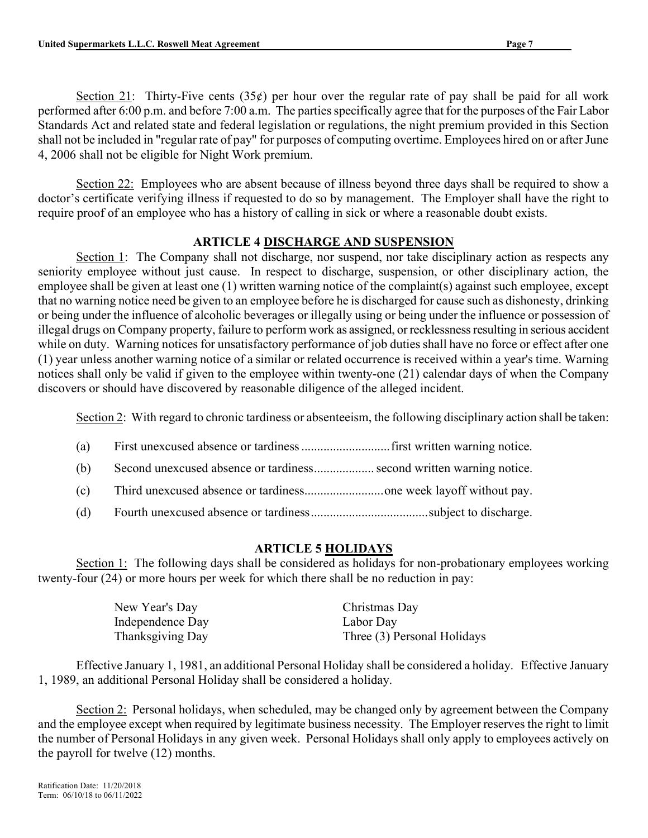Section 21: Thirty-Five cents (35 $\phi$ ) per hour over the regular rate of pay shall be paid for all work performed after 6:00 p.m. and before 7:00 a.m. The parties specifically agree that for the purposes of the Fair Labor Standards Act and related state and federal legislation or regulations, the night premium provided in this Section shall not be included in "regular rate of pay" for purposes of computing overtime. Employees hired on or after June 4, 2006 shall not be eligible for Night Work premium.

Section 22: Employees who are absent because of illness beyond three days shall be required to show a doctor's certificate verifying illness if requested to do so by management. The Employer shall have the right to require proof of an employee who has a history of calling in sick or where a reasonable doubt exists.

## ARTICLE 4 DISCHARGE AND SUSPENSION

Section 1: The Company shall not discharge, nor suspend, nor take disciplinary action as respects any seniority employee without just cause. In respect to discharge, suspension, or other disciplinary action, the employee shall be given at least one (1) written warning notice of the complaint(s) against such employee, except that no warning notice need be given to an employee before he is discharged for cause such as dishonesty, drinking or being under the influence of alcoholic beverages or illegally using or being under the influence or possession of illegal drugs on Company property, failure to perform work as assigned, or recklessness resulting in serious accident while on duty. Warning notices for unsatisfactory performance of job duties shall have no force or effect after one (1) year unless another warning notice of a similar or related occurrence is received within a year's time. Warning notices shall only be valid if given to the employee within twenty-one (21) calendar days of when the Company discovers or should have discovered by reasonable diligence of the alleged incident.

Section 2: With regard to chronic tardiness or absenteeism, the following disciplinary action shall be taken:

- (a) First unexcused absence or tardiness ............................ first written warning notice.
- (b) Second unexcused absence or tardiness ................... second written warning notice.
- (c) Third unexcused absence or tardiness......................... one week layoff without pay.
- (d) Fourth unexcused absence or tardiness ..................................... subject to discharge.

## ARTICLE 5 HOLIDAYS

Section 1: The following days shall be considered as holidays for non-probationary employees working twenty-four (24) or more hours per week for which there shall be no reduction in pay:

| New Year's Day   | Christmas Day               |
|------------------|-----------------------------|
| Independence Day | Labor Day                   |
| Thanksgiving Day | Three (3) Personal Holidays |

Effective January 1, 1981, an additional Personal Holiday shall be considered a holiday. Effective January 1, 1989, an additional Personal Holiday shall be considered a holiday.

Section 2: Personal holidays, when scheduled, may be changed only by agreement between the Company and the employee except when required by legitimate business necessity. The Employer reserves the right to limit the number of Personal Holidays in any given week. Personal Holidays shall only apply to employees actively on the payroll for twelve (12) months.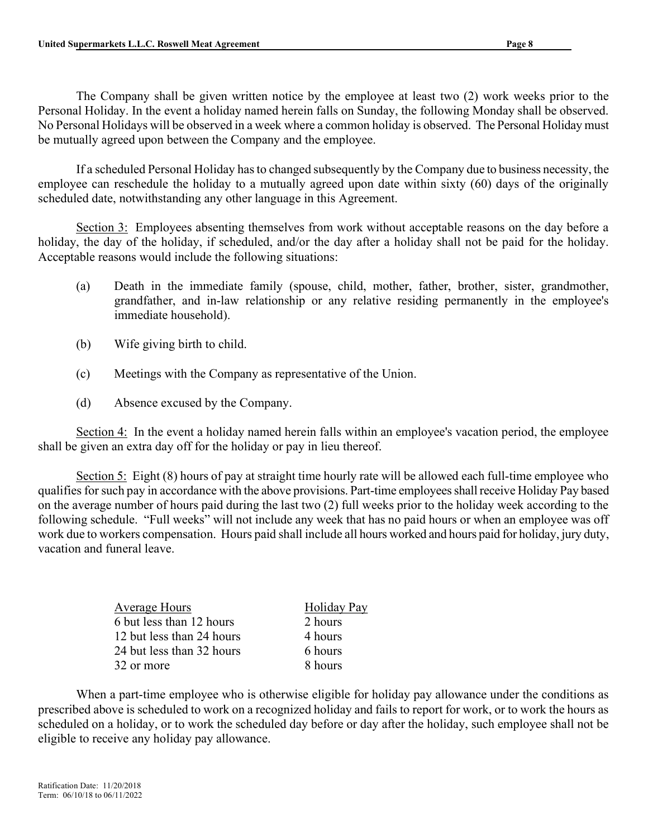The Company shall be given written notice by the employee at least two (2) work weeks prior to the Personal Holiday. In the event a holiday named herein falls on Sunday, the following Monday shall be observed. No Personal Holidays will be observed in a week where a common holiday is observed. The Personal Holiday must be mutually agreed upon between the Company and the employee.

If a scheduled Personal Holiday has to changed subsequently by the Company due to business necessity, the employee can reschedule the holiday to a mutually agreed upon date within sixty (60) days of the originally scheduled date, notwithstanding any other language in this Agreement.

Section 3: Employees absenting themselves from work without acceptable reasons on the day before a holiday, the day of the holiday, if scheduled, and/or the day after a holiday shall not be paid for the holiday. Acceptable reasons would include the following situations:

- (a) Death in the immediate family (spouse, child, mother, father, brother, sister, grandmother, grandfather, and in-law relationship or any relative residing permanently in the employee's immediate household).
- (b) Wife giving birth to child.
- (c) Meetings with the Company as representative of the Union.
- (d) Absence excused by the Company.

Section 4: In the event a holiday named herein falls within an employee's vacation period, the employee shall be given an extra day off for the holiday or pay in lieu thereof.

Section 5: Eight (8) hours of pay at straight time hourly rate will be allowed each full-time employee who qualifies for such pay in accordance with the above provisions. Part-time employees shall receive Holiday Pay based on the average number of hours paid during the last two (2) full weeks prior to the holiday week according to the following schedule. "Full weeks" will not include any week that has no paid hours or when an employee was off work due to workers compensation. Hours paid shall include all hours worked and hours paid for holiday, jury duty, vacation and funeral leave.

> Holiday Pay 2 hours 4 hours  $6$  hours 8 hours

| <b>Average Hours</b>      |
|---------------------------|
| 6 but less than 12 hours  |
| 12 but less than 24 hours |
| 24 but less than 32 hours |
| 32 or more                |

When a part-time employee who is otherwise eligible for holiday pay allowance under the conditions as prescribed above is scheduled to work on a recognized holiday and fails to report for work, or to work the hours as scheduled on a holiday, or to work the scheduled day before or day after the holiday, such employee shall not be eligible to receive any holiday pay allowance.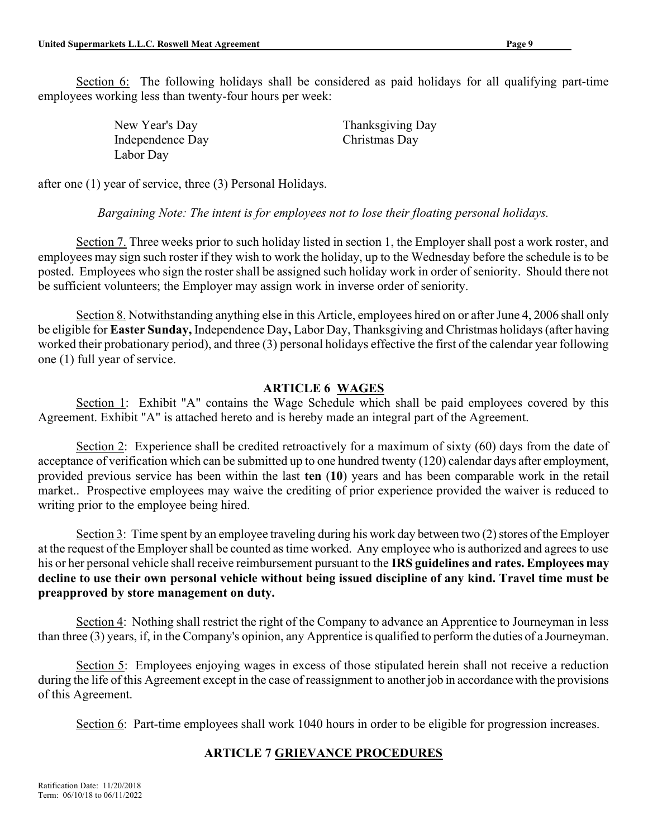New Year's Day Thanksgiving Day Independence Day Christmas Day Labor Day

after one (1) year of service, three (3) Personal Holidays.

## Bargaining Note: The intent is for employees not to lose their floating personal holidays.

Section 7. Three weeks prior to such holiday listed in section 1, the Employer shall post a work roster, and employees may sign such roster if they wish to work the holiday, up to the Wednesday before the schedule is to be posted. Employees who sign the roster shall be assigned such holiday work in order of seniority. Should there not be sufficient volunteers; the Employer may assign work in inverse order of seniority.

Section 8. Notwithstanding anything else in this Article, employees hired on or after June 4, 2006 shall only be eligible for Easter Sunday, Independence Day, Labor Day, Thanksgiving and Christmas holidays (after having worked their probationary period), and three (3) personal holidays effective the first of the calendar year following one (1) full year of service.

## ARTICLE 6 WAGES

Section 1: Exhibit "A" contains the Wage Schedule which shall be paid employees covered by this Agreement. Exhibit "A" is attached hereto and is hereby made an integral part of the Agreement.

Section 2: Experience shall be credited retroactively for a maximum of sixty (60) days from the date of acceptance of verification which can be submitted up to one hundred twenty (120) calendar days after employment, provided previous service has been within the last ten (10) years and has been comparable work in the retail market.. Prospective employees may waive the crediting of prior experience provided the waiver is reduced to writing prior to the employee being hired.

Section 3: Time spent by an employee traveling during his work day between two (2) stores of the Employer at the request of the Employer shall be counted as time worked. Any employee who is authorized and agrees to use his or her personal vehicle shall receive reimbursement pursuant to the IRS guidelines and rates. Employees may decline to use their own personal vehicle without being issued discipline of any kind. Travel time must be preapproved by store management on duty.

Section 4: Nothing shall restrict the right of the Company to advance an Apprentice to Journeyman in less than three (3) years, if, in the Company's opinion, any Apprentice is qualified to perform the duties of a Journeyman.

Section 5: Employees enjoying wages in excess of those stipulated herein shall not receive a reduction during the life of this Agreement except in the case of reassignment to another job in accordance with the provisions of this Agreement.

Section 6: Part-time employees shall work 1040 hours in order to be eligible for progression increases.

# ARTICLE 7 GRIEVANCE PROCEDURES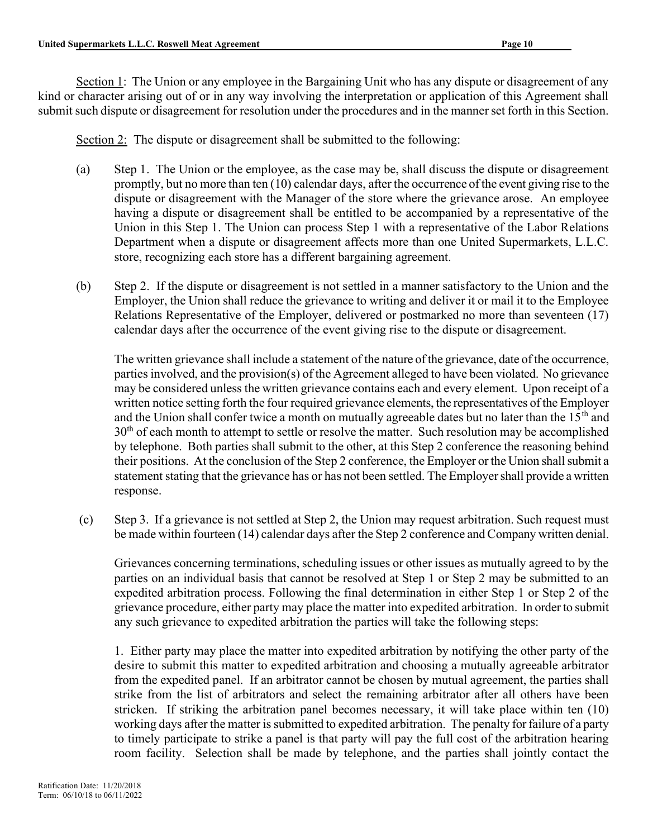Section 1: The Union or any employee in the Bargaining Unit who has any dispute or disagreement of any kind or character arising out of or in any way involving the interpretation or application of this Agreement shall submit such dispute or disagreement for resolution under the procedures and in the manner set forth in this Section.

Section 2: The dispute or disagreement shall be submitted to the following:

- (a) Step 1. The Union or the employee, as the case may be, shall discuss the dispute or disagreement promptly, but no more than ten (10) calendar days, after the occurrence of the event giving rise to the dispute or disagreement with the Manager of the store where the grievance arose. An employee having a dispute or disagreement shall be entitled to be accompanied by a representative of the Union in this Step 1. The Union can process Step 1 with a representative of the Labor Relations Department when a dispute or disagreement affects more than one United Supermarkets, L.L.C. store, recognizing each store has a different bargaining agreement.
- (b) Step 2. If the dispute or disagreement is not settled in a manner satisfactory to the Union and the Employer, the Union shall reduce the grievance to writing and deliver it or mail it to the Employee Relations Representative of the Employer, delivered or postmarked no more than seventeen (17) calendar days after the occurrence of the event giving rise to the dispute or disagreement.

The written grievance shall include a statement of the nature of the grievance, date of the occurrence, parties involved, and the provision(s) of the Agreement alleged to have been violated. No grievance may be considered unless the written grievance contains each and every element. Upon receipt of a written notice setting forth the four required grievance elements, the representatives of the Employer and the Union shall confer twice a month on mutually agreeable dates but no later than the  $15<sup>th</sup>$  and  $30<sup>th</sup>$  of each month to attempt to settle or resolve the matter. Such resolution may be accomplished by telephone. Both parties shall submit to the other, at this Step 2 conference the reasoning behind their positions. At the conclusion of the Step 2 conference, the Employer or the Union shall submit a statement stating that the grievance has or has not been settled. The Employer shall provide a written response.

(c) Step 3. If a grievance is not settled at Step 2, the Union may request arbitration. Such request must be made within fourteen (14) calendar days after the Step 2 conference and Company written denial.

Grievances concerning terminations, scheduling issues or other issues as mutually agreed to by the parties on an individual basis that cannot be resolved at Step 1 or Step 2 may be submitted to an expedited arbitration process. Following the final determination in either Step 1 or Step 2 of the grievance procedure, either party may place the matter into expedited arbitration. In order to submit any such grievance to expedited arbitration the parties will take the following steps:

1. Either party may place the matter into expedited arbitration by notifying the other party of the desire to submit this matter to expedited arbitration and choosing a mutually agreeable arbitrator from the expedited panel. If an arbitrator cannot be chosen by mutual agreement, the parties shall strike from the list of arbitrators and select the remaining arbitrator after all others have been stricken. If striking the arbitration panel becomes necessary, it will take place within ten (10) working days after the matter is submitted to expedited arbitration. The penalty for failure of a party to timely participate to strike a panel is that party will pay the full cost of the arbitration hearing room facility. Selection shall be made by telephone, and the parties shall jointly contact the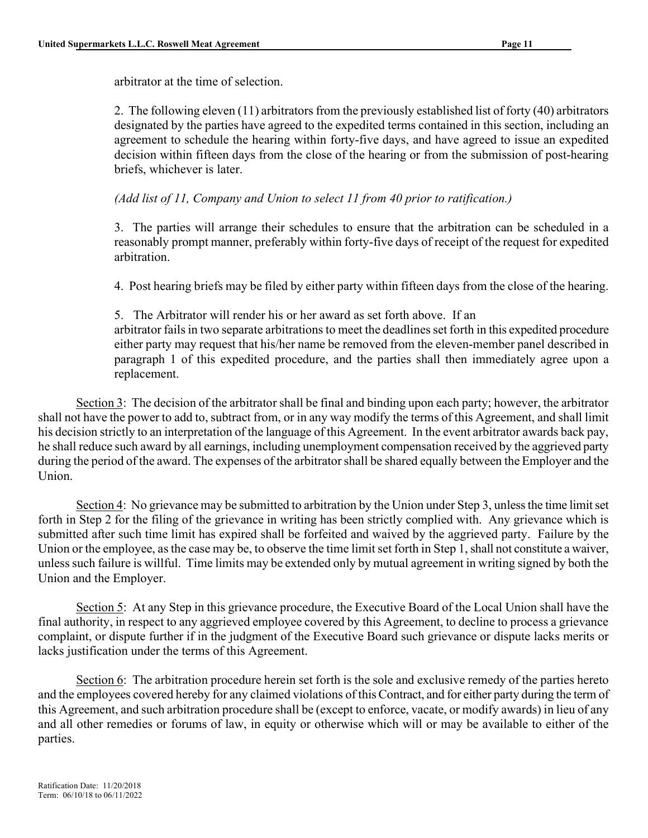arbitrator at the time of selection.

2. The following eleven (11) arbitrators from the previously established list of forty (40) arbitrators designated by the parties have agreed to the expedited terms contained in this section, including an agreement to schedule the hearing within forty-five days, and have agreed to issue an expedited decision within fifteen days from the close of the hearing or from the submission of post-hearing briefs, whichever is later.

(Add list of 11, Company and Union to select 11 from 40 prior to ratification.)

3. The parties will arrange their schedules to ensure that the arbitration can be scheduled in a reasonably prompt manner, preferably within forty-five days of receipt of the request for expedited arbitration.

4. Post hearing briefs may be filed by either party within fifteen days from the close of the hearing.

5. The Arbitrator will render his or her award as set forth above. If an arbitrator fails in two separate arbitrations to meet the deadlines set forth in this expedited procedure either party may request that his/her name be removed from the eleven-member panel described in paragraph 1 of this expedited procedure, and the parties shall then immediately agree upon a replacement.

Section 3: The decision of the arbitrator shall be final and binding upon each party; however, the arbitrator shall not have the power to add to, subtract from, or in any way modify the terms of this Agreement, and shall limit his decision strictly to an interpretation of the language of this Agreement. In the event arbitrator awards back pay, he shall reduce such award by all earnings, including unemployment compensation received by the aggrieved party during the period of the award. The expenses of the arbitrator shall be shared equally between the Employer and the Union.

Section 4: No grievance may be submitted to arbitration by the Union under Step 3, unless the time limit set forth in Step 2 for the filing of the grievance in writing has been strictly complied with. Any grievance which is submitted after such time limit has expired shall be forfeited and waived by the aggrieved party. Failure by the Union or the employee, as the case may be, to observe the time limit set forth in Step 1, shall not constitute a waiver, unless such failure is willful. Time limits may be extended only by mutual agreement in writing signed by both the Union and the Employer.

Section 5: At any Step in this grievance procedure, the Executive Board of the Local Union shall have the final authority, in respect to any aggrieved employee covered by this Agreement, to decline to process a grievance complaint, or dispute further if in the judgment of the Executive Board such grievance or dispute lacks merits or lacks justification under the terms of this Agreement.

Section 6: The arbitration procedure herein set forth is the sole and exclusive remedy of the parties hereto and the employees covered hereby for any claimed violations of this Contract, and for either party during the term of this Agreement, and such arbitration procedure shall be (except to enforce, vacate, or modify awards) in lieu of any and all other remedies or forums of law, in equity or otherwise which will or may be available to either of the parties.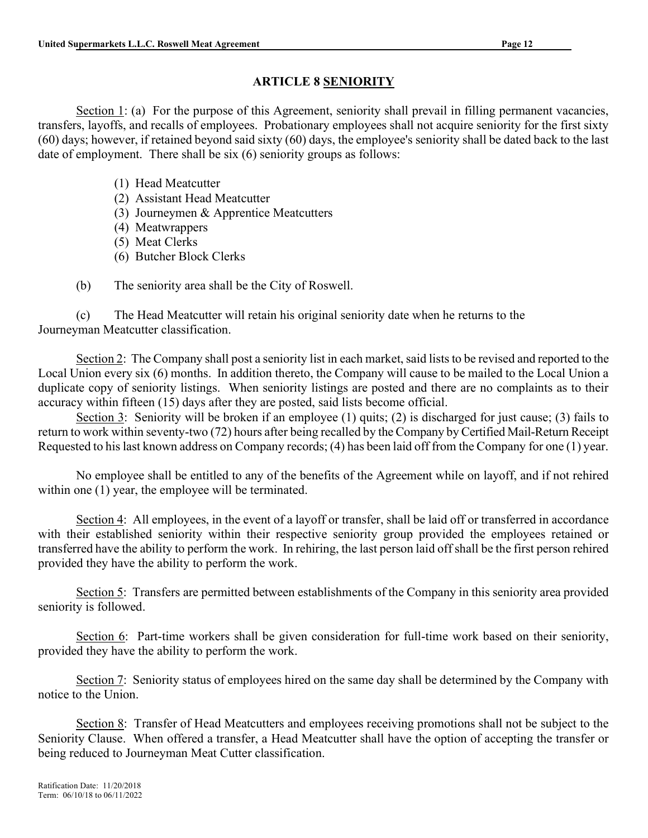## ARTICLE 8 SENIORITY

Section 1: (a) For the purpose of this Agreement, seniority shall prevail in filling permanent vacancies, transfers, layoffs, and recalls of employees. Probationary employees shall not acquire seniority for the first sixty (60) days; however, if retained beyond said sixty (60) days, the employee's seniority shall be dated back to the last date of employment. There shall be six (6) seniority groups as follows:

- (1) Head Meatcutter
- (2) Assistant Head Meatcutter
- (3) Journeymen & Apprentice Meatcutters
- (4) Meatwrappers
- (5) Meat Clerks
- (6) Butcher Block Clerks
- (b) The seniority area shall be the City of Roswell.

(c) The Head Meatcutter will retain his original seniority date when he returns to the Journeyman Meatcutter classification.

Section 2: The Company shall post a seniority list in each market, said lists to be revised and reported to the Local Union every six (6) months. In addition thereto, the Company will cause to be mailed to the Local Union a duplicate copy of seniority listings. When seniority listings are posted and there are no complaints as to their accuracy within fifteen (15) days after they are posted, said lists become official.

Section 3: Seniority will be broken if an employee (1) quits; (2) is discharged for just cause; (3) fails to return to work within seventy-two (72) hours after being recalled by the Company by Certified Mail-Return Receipt Requested to his last known address on Company records; (4) has been laid off from the Company for one (1) year.

No employee shall be entitled to any of the benefits of the Agreement while on layoff, and if not rehired within one (1) year, the employee will be terminated.

Section 4: All employees, in the event of a layoff or transfer, shall be laid off or transferred in accordance with their established seniority within their respective seniority group provided the employees retained or transferred have the ability to perform the work. In rehiring, the last person laid off shall be the first person rehired provided they have the ability to perform the work.

Section 5: Transfers are permitted between establishments of the Company in this seniority area provided seniority is followed.

Section 6: Part-time workers shall be given consideration for full-time work based on their seniority, provided they have the ability to perform the work.

Section 7: Seniority status of employees hired on the same day shall be determined by the Company with notice to the Union.

Section 8: Transfer of Head Meatcutters and employees receiving promotions shall not be subject to the Seniority Clause. When offered a transfer, a Head Meatcutter shall have the option of accepting the transfer or being reduced to Journeyman Meat Cutter classification.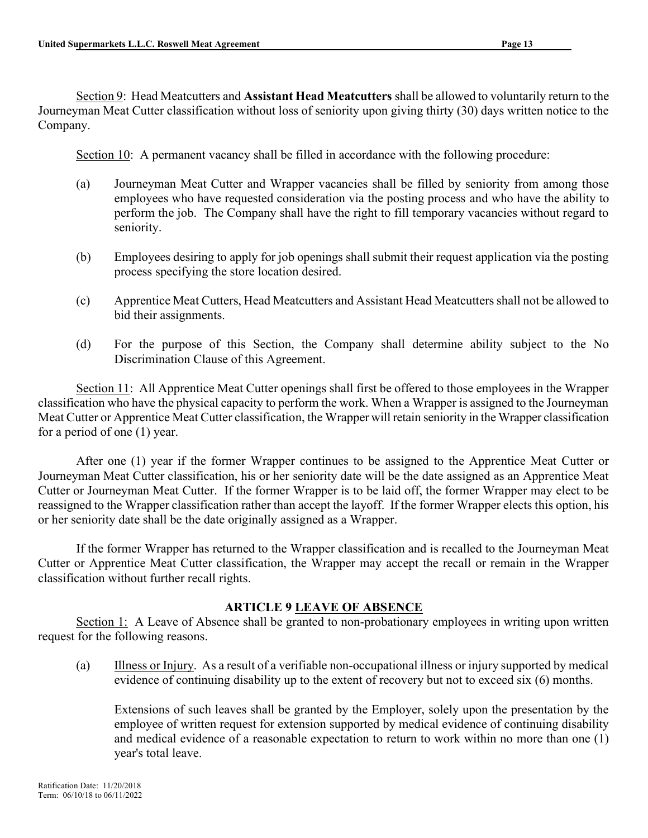Section 9: Head Meatcutters and Assistant Head Meatcutters shall be allowed to voluntarily return to the Journeyman Meat Cutter classification without loss of seniority upon giving thirty (30) days written notice to the Company.

Section 10: A permanent vacancy shall be filled in accordance with the following procedure:

- (a) Journeyman Meat Cutter and Wrapper vacancies shall be filled by seniority from among those employees who have requested consideration via the posting process and who have the ability to perform the job. The Company shall have the right to fill temporary vacancies without regard to seniority.
- (b) Employees desiring to apply for job openings shall submit their request application via the posting process specifying the store location desired.
- (c) Apprentice Meat Cutters, Head Meatcutters and Assistant Head Meatcutters shall not be allowed to bid their assignments.
- (d) For the purpose of this Section, the Company shall determine ability subject to the No Discrimination Clause of this Agreement.

Section 11: All Apprentice Meat Cutter openings shall first be offered to those employees in the Wrapper classification who have the physical capacity to perform the work. When a Wrapper is assigned to the Journeyman Meat Cutter or Apprentice Meat Cutter classification, the Wrapper will retain seniority in the Wrapper classification for a period of one (1) year.

After one (1) year if the former Wrapper continues to be assigned to the Apprentice Meat Cutter or Journeyman Meat Cutter classification, his or her seniority date will be the date assigned as an Apprentice Meat Cutter or Journeyman Meat Cutter. If the former Wrapper is to be laid off, the former Wrapper may elect to be reassigned to the Wrapper classification rather than accept the layoff. If the former Wrapper elects this option, his or her seniority date shall be the date originally assigned as a Wrapper.

If the former Wrapper has returned to the Wrapper classification and is recalled to the Journeyman Meat Cutter or Apprentice Meat Cutter classification, the Wrapper may accept the recall or remain in the Wrapper classification without further recall rights.

## ARTICLE 9 LEAVE OF ABSENCE

Section 1: A Leave of Absence shall be granted to non-probationary employees in writing upon written request for the following reasons.

(a) Illness or Injury. As a result of a verifiable non-occupational illness or injury supported by medical evidence of continuing disability up to the extent of recovery but not to exceed six (6) months.

Extensions of such leaves shall be granted by the Employer, solely upon the presentation by the employee of written request for extension supported by medical evidence of continuing disability and medical evidence of a reasonable expectation to return to work within no more than one (1) year's total leave.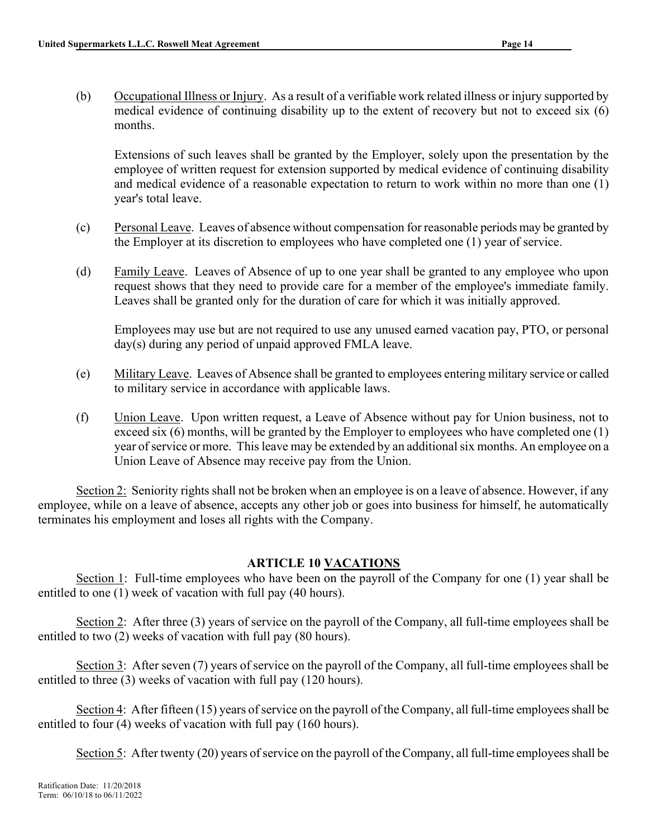(b) Occupational Illness or Injury. As a result of a verifiable work related illness or injury supported by medical evidence of continuing disability up to the extent of recovery but not to exceed six (6) months.

Extensions of such leaves shall be granted by the Employer, solely upon the presentation by the employee of written request for extension supported by medical evidence of continuing disability and medical evidence of a reasonable expectation to return to work within no more than one (1) year's total leave.

- (c) Personal Leave. Leaves of absence without compensation for reasonable periods may be granted by the Employer at its discretion to employees who have completed one (1) year of service.
- (d) Family Leave. Leaves of Absence of up to one year shall be granted to any employee who upon request shows that they need to provide care for a member of the employee's immediate family. Leaves shall be granted only for the duration of care for which it was initially approved.

 Employees may use but are not required to use any unused earned vacation pay, PTO, or personal day(s) during any period of unpaid approved FMLA leave.

- (e) Military Leave. Leaves of Absence shall be granted to employees entering military service or called to military service in accordance with applicable laws.
- (f) Union Leave. Upon written request, a Leave of Absence without pay for Union business, not to exceed six (6) months, will be granted by the Employer to employees who have completed one (1) year of service or more. This leave may be extended by an additional six months. An employee on a Union Leave of Absence may receive pay from the Union.

Section 2: Seniority rights shall not be broken when an employee is on a leave of absence. However, if any employee, while on a leave of absence, accepts any other job or goes into business for himself, he automatically terminates his employment and loses all rights with the Company.

## ARTICLE 10 VACATIONS

Section 1: Full-time employees who have been on the payroll of the Company for one (1) year shall be entitled to one (1) week of vacation with full pay (40 hours).

Section 2: After three (3) years of service on the payroll of the Company, all full-time employees shall be entitled to two (2) weeks of vacation with full pay (80 hours).

Section 3: After seven (7) years of service on the payroll of the Company, all full-time employees shall be entitled to three (3) weeks of vacation with full pay (120 hours).

Section 4: After fifteen (15) years of service on the payroll of the Company, all full-time employees shall be entitled to four (4) weeks of vacation with full pay (160 hours).

Section 5: After twenty (20) years of service on the payroll of the Company, all full-time employees shall be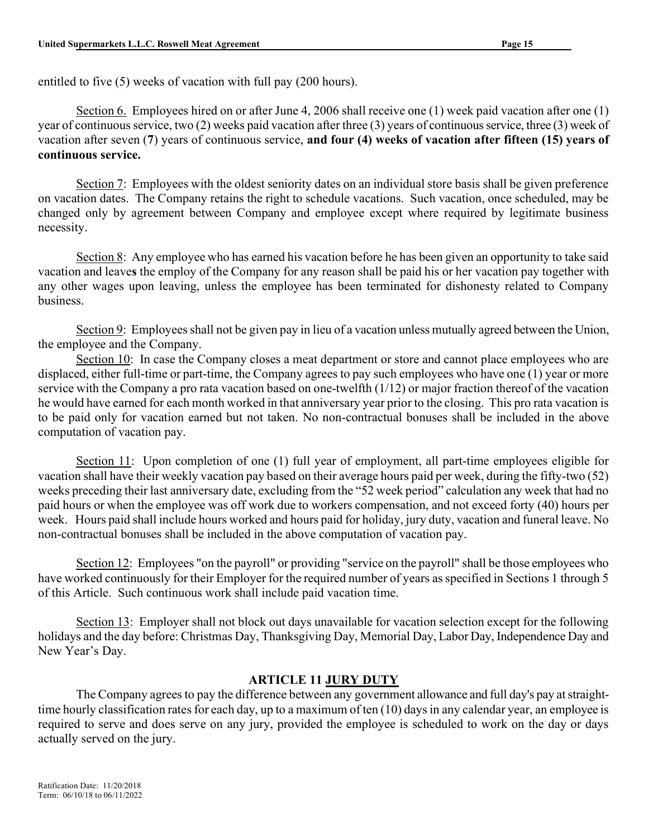entitled to five (5) weeks of vacation with full pay (200 hours).

Section 6. Employees hired on or after June 4, 2006 shall receive one (1) week paid vacation after one (1) year of continuous service, two (2) weeks paid vacation after three (3) years of continuous service, three (3) week of vacation after seven (7) years of continuous service, and four (4) weeks of vacation after fifteen (15) years of continuous service.

Section 7: Employees with the oldest seniority dates on an individual store basis shall be given preference on vacation dates. The Company retains the right to schedule vacations. Such vacation, once scheduled, may be changed only by agreement between Company and employee except where required by legitimate business necessity.

Section 8: Any employee who has earned his vacation before he has been given an opportunity to take said vacation and leaves the employ of the Company for any reason shall be paid his or her vacation pay together with any other wages upon leaving, unless the employee has been terminated for dishonesty related to Company business.

Section 9: Employees shall not be given pay in lieu of a vacation unless mutually agreed between the Union, the employee and the Company.

Section 10: In case the Company closes a meat department or store and cannot place employees who are displaced, either full-time or part-time, the Company agrees to pay such employees who have one (1) year or more service with the Company a pro rata vacation based on one-twelfth  $(1/12)$  or major fraction thereof of the vacation he would have earned for each month worked in that anniversary year prior to the closing. This pro rata vacation is to be paid only for vacation earned but not taken. No non-contractual bonuses shall be included in the above computation of vacation pay.

Section 11: Upon completion of one (1) full year of employment, all part-time employees eligible for vacation shall have their weekly vacation pay based on their average hours paid per week, during the fifty-two (52) weeks preceding their last anniversary date, excluding from the "52 week period" calculation any week that had no paid hours or when the employee was off work due to workers compensation, and not exceed forty (40) hours per week. Hours paid shall include hours worked and hours paid for holiday, jury duty, vacation and funeral leave. No non-contractual bonuses shall be included in the above computation of vacation pay.

Section 12: Employees "on the payroll" or providing "service on the payroll" shall be those employees who have worked continuously for their Employer for the required number of years as specified in Sections 1 through 5 of this Article. Such continuous work shall include paid vacation time.

Section 13: Employer shall not block out days unavailable for vacation selection except for the following holidays and the day before: Christmas Day, Thanksgiving Day, Memorial Day, Labor Day, Independence Day and New Year's Day.

## ARTICLE 11 JURY DUTY

The Company agrees to pay the difference between any government allowance and full day's pay at straighttime hourly classification rates for each day, up to a maximum of ten (10) days in any calendar year, an employee is required to serve and does serve on any jury, provided the employee is scheduled to work on the day or days actually served on the jury.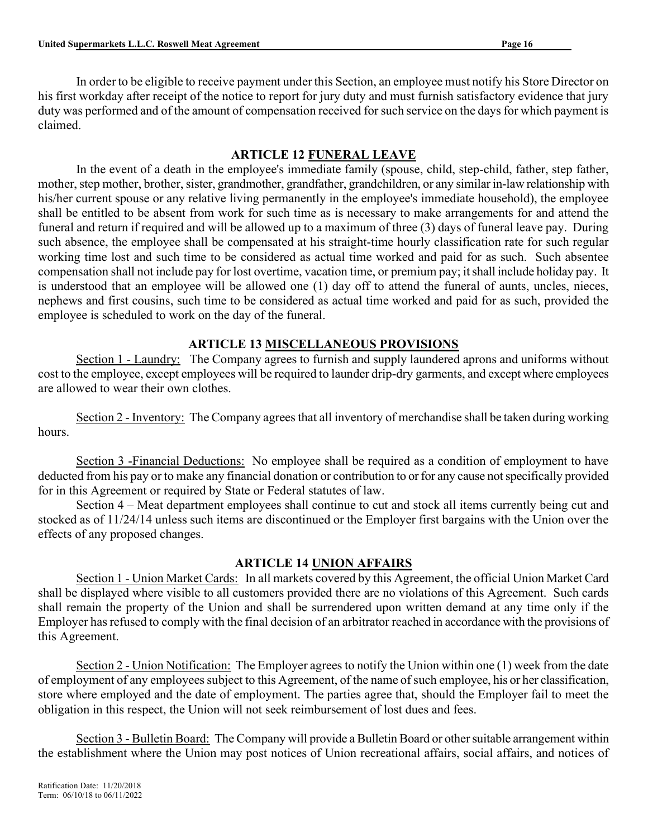In order to be eligible to receive payment under this Section, an employee must notify his Store Director on his first workday after receipt of the notice to report for jury duty and must furnish satisfactory evidence that jury duty was performed and of the amount of compensation received for such service on the days for which payment is claimed.

## ARTICLE 12 FUNERAL LEAVE

In the event of a death in the employee's immediate family (spouse, child, step-child, father, step father, mother, step mother, brother, sister, grandmother, grandfather, grandchildren, or any similar in-law relationship with his/her current spouse or any relative living permanently in the employee's immediate household), the employee shall be entitled to be absent from work for such time as is necessary to make arrangements for and attend the funeral and return if required and will be allowed up to a maximum of three (3) days of funeral leave pay. During such absence, the employee shall be compensated at his straight-time hourly classification rate for such regular working time lost and such time to be considered as actual time worked and paid for as such. Such absentee compensation shall not include pay for lost overtime, vacation time, or premium pay; it shall include holiday pay. It is understood that an employee will be allowed one (1) day off to attend the funeral of aunts, uncles, nieces, nephews and first cousins, such time to be considered as actual time worked and paid for as such, provided the employee is scheduled to work on the day of the funeral.

## ARTICLE 13 MISCELLANEOUS PROVISIONS

Section 1 - Laundry: The Company agrees to furnish and supply laundered aprons and uniforms without cost to the employee, except employees will be required to launder drip-dry garments, and except where employees are allowed to wear their own clothes.

Section 2 - Inventory: The Company agrees that all inventory of merchandise shall be taken during working hours.

Section 3 -Financial Deductions: No employee shall be required as a condition of employment to have deducted from his pay or to make any financial donation or contribution to or for any cause not specifically provided for in this Agreement or required by State or Federal statutes of law.

Section 4 – Meat department employees shall continue to cut and stock all items currently being cut and stocked as of 11/24/14 unless such items are discontinued or the Employer first bargains with the Union over the effects of any proposed changes.

## ARTICLE 14 UNION AFFAIRS

Section 1 - Union Market Cards: In all markets covered by this Agreement, the official Union Market Card shall be displayed where visible to all customers provided there are no violations of this Agreement. Such cards shall remain the property of the Union and shall be surrendered upon written demand at any time only if the Employer has refused to comply with the final decision of an arbitrator reached in accordance with the provisions of this Agreement.

Section 2 - Union Notification: The Employer agrees to notify the Union within one (1) week from the date of employment of any employees subject to this Agreement, of the name of such employee, his or her classification, store where employed and the date of employment. The parties agree that, should the Employer fail to meet the obligation in this respect, the Union will not seek reimbursement of lost dues and fees.

Section 3 - Bulletin Board: The Company will provide a Bulletin Board or other suitable arrangement within the establishment where the Union may post notices of Union recreational affairs, social affairs, and notices of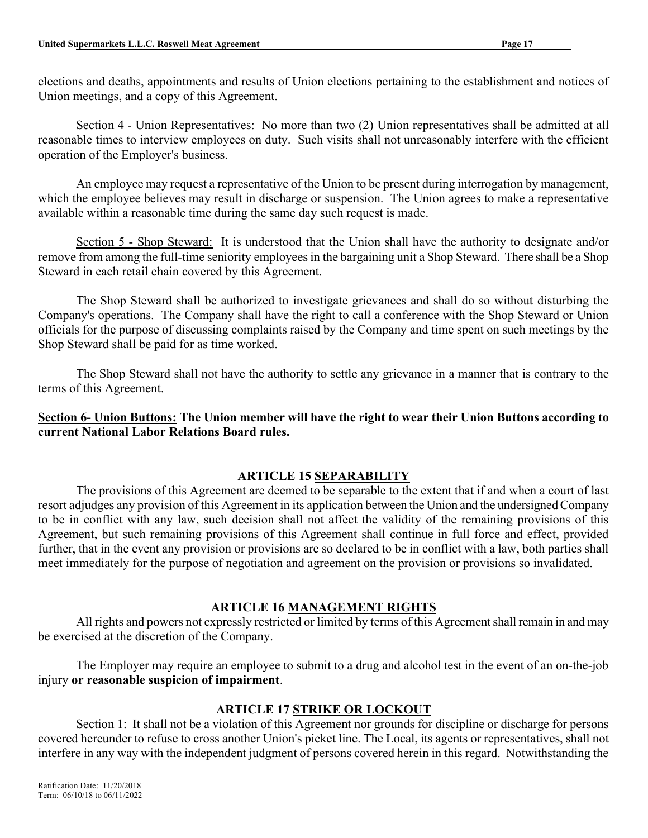elections and deaths, appointments and results of Union elections pertaining to the establishment and notices of Union meetings, and a copy of this Agreement.

Section 4 - Union Representatives: No more than two (2) Union representatives shall be admitted at all reasonable times to interview employees on duty. Such visits shall not unreasonably interfere with the efficient operation of the Employer's business.

An employee may request a representative of the Union to be present during interrogation by management, which the employee believes may result in discharge or suspension. The Union agrees to make a representative available within a reasonable time during the same day such request is made.

Section 5 - Shop Steward: It is understood that the Union shall have the authority to designate and/or remove from among the full-time seniority employees in the bargaining unit a Shop Steward. There shall be a Shop Steward in each retail chain covered by this Agreement.

The Shop Steward shall be authorized to investigate grievances and shall do so without disturbing the Company's operations. The Company shall have the right to call a conference with the Shop Steward or Union officials for the purpose of discussing complaints raised by the Company and time spent on such meetings by the Shop Steward shall be paid for as time worked.

The Shop Steward shall not have the authority to settle any grievance in a manner that is contrary to the terms of this Agreement.

Section 6- Union Buttons: The Union member will have the right to wear their Union Buttons according to current National Labor Relations Board rules.

# ARTICLE 15 SEPARABILITY

The provisions of this Agreement are deemed to be separable to the extent that if and when a court of last resort adjudges any provision of this Agreement in its application between the Union and the undersigned Company to be in conflict with any law, such decision shall not affect the validity of the remaining provisions of this Agreement, but such remaining provisions of this Agreement shall continue in full force and effect, provided further, that in the event any provision or provisions are so declared to be in conflict with a law, both parties shall meet immediately for the purpose of negotiation and agreement on the provision or provisions so invalidated.

## ARTICLE 16 MANAGEMENT RIGHTS

All rights and powers not expressly restricted or limited by terms of this Agreement shall remain in and may be exercised at the discretion of the Company.

The Employer may require an employee to submit to a drug and alcohol test in the event of an on-the-job injury or reasonable suspicion of impairment.

# ARTICLE 17 STRIKE OR LOCKOUT

Section 1: It shall not be a violation of this Agreement nor grounds for discipline or discharge for persons covered hereunder to refuse to cross another Union's picket line. The Local, its agents or representatives, shall not interfere in any way with the independent judgment of persons covered herein in this regard. Notwithstanding the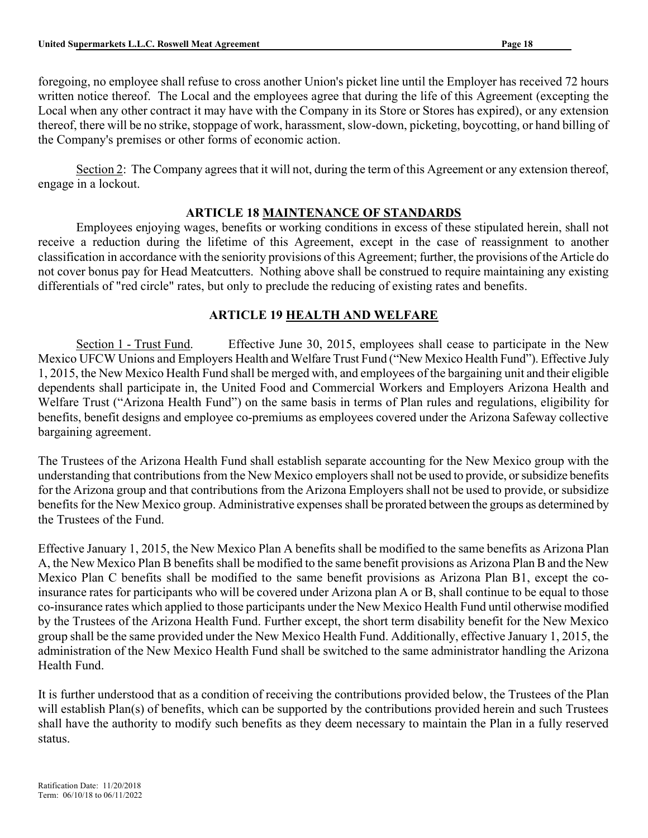foregoing, no employee shall refuse to cross another Union's picket line until the Employer has received 72 hours written notice thereof. The Local and the employees agree that during the life of this Agreement (excepting the Local when any other contract it may have with the Company in its Store or Stores has expired), or any extension thereof, there will be no strike, stoppage of work, harassment, slow-down, picketing, boycotting, or hand billing of the Company's premises or other forms of economic action.

Section 2: The Company agrees that it will not, during the term of this Agreement or any extension thereof, engage in a lockout.

## ARTICLE 18 MAINTENANCE OF STANDARDS

Employees enjoying wages, benefits or working conditions in excess of these stipulated herein, shall not receive a reduction during the lifetime of this Agreement, except in the case of reassignment to another classification in accordance with the seniority provisions of this Agreement; further, the provisions of the Article do not cover bonus pay for Head Meatcutters. Nothing above shall be construed to require maintaining any existing differentials of "red circle" rates, but only to preclude the reducing of existing rates and benefits.

## ARTICLE 19 HEALTH AND WELFARE

Section 1 - Trust Fund. Effective June 30, 2015, employees shall cease to participate in the New Mexico UFCW Unions and Employers Health and Welfare Trust Fund ("New Mexico Health Fund"). Effective July 1, 2015, the New Mexico Health Fund shall be merged with, and employees of the bargaining unit and their eligible dependents shall participate in, the United Food and Commercial Workers and Employers Arizona Health and Welfare Trust ("Arizona Health Fund") on the same basis in terms of Plan rules and regulations, eligibility for benefits, benefit designs and employee co-premiums as employees covered under the Arizona Safeway collective bargaining agreement.

The Trustees of the Arizona Health Fund shall establish separate accounting for the New Mexico group with the understanding that contributions from the New Mexico employers shall not be used to provide, or subsidize benefits for the Arizona group and that contributions from the Arizona Employers shall not be used to provide, or subsidize benefits for the New Mexico group. Administrative expenses shall be prorated between the groups as determined by the Trustees of the Fund.

Effective January 1, 2015, the New Mexico Plan A benefits shall be modified to the same benefits as Arizona Plan A, the New Mexico Plan B benefits shall be modified to the same benefit provisions as Arizona Plan B and the New Mexico Plan C benefits shall be modified to the same benefit provisions as Arizona Plan B1, except the coinsurance rates for participants who will be covered under Arizona plan A or B, shall continue to be equal to those co-insurance rates which applied to those participants under the New Mexico Health Fund until otherwise modified by the Trustees of the Arizona Health Fund. Further except, the short term disability benefit for the New Mexico group shall be the same provided under the New Mexico Health Fund. Additionally, effective January 1, 2015, the administration of the New Mexico Health Fund shall be switched to the same administrator handling the Arizona Health Fund.

It is further understood that as a condition of receiving the contributions provided below, the Trustees of the Plan will establish Plan(s) of benefits, which can be supported by the contributions provided herein and such Trustees shall have the authority to modify such benefits as they deem necessary to maintain the Plan in a fully reserved status.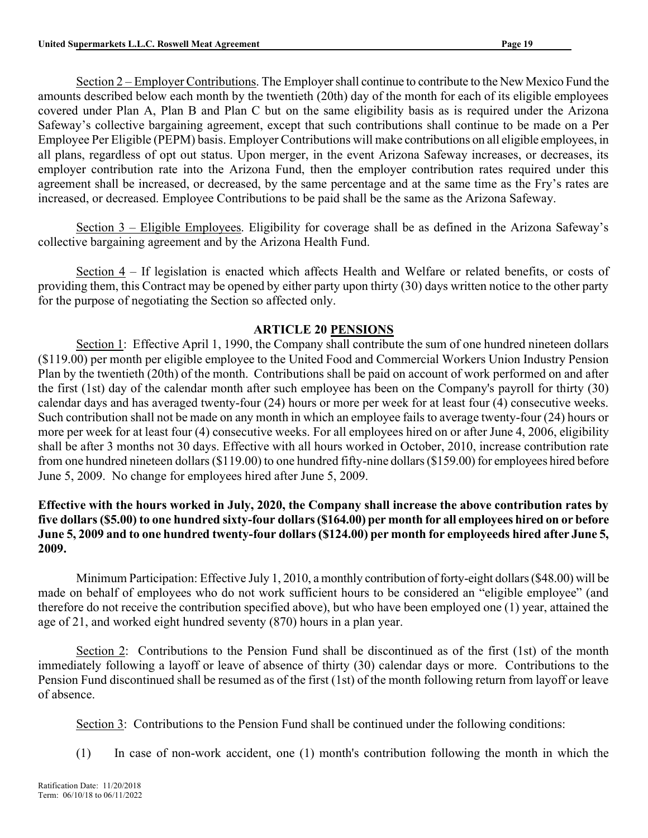Section 2 – Employer Contributions. The Employer shall continue to contribute to the New Mexico Fund the amounts described below each month by the twentieth (20th) day of the month for each of its eligible employees covered under Plan A, Plan B and Plan C but on the same eligibility basis as is required under the Arizona Safeway's collective bargaining agreement, except that such contributions shall continue to be made on a Per Employee Per Eligible (PEPM) basis. Employer Contributions will make contributions on all eligible employees, in all plans, regardless of opt out status. Upon merger, in the event Arizona Safeway increases, or decreases, its employer contribution rate into the Arizona Fund, then the employer contribution rates required under this agreement shall be increased, or decreased, by the same percentage and at the same time as the Fry's rates are increased, or decreased. Employee Contributions to be paid shall be the same as the Arizona Safeway.

Section 3 – Eligible Employees. Eligibility for coverage shall be as defined in the Arizona Safeway's collective bargaining agreement and by the Arizona Health Fund.

Section 4 – If legislation is enacted which affects Health and Welfare or related benefits, or costs of providing them, this Contract may be opened by either party upon thirty (30) days written notice to the other party for the purpose of negotiating the Section so affected only.

## ARTICLE 20 PENSIONS

Section 1: Effective April 1, 1990, the Company shall contribute the sum of one hundred nineteen dollars (\$119.00) per month per eligible employee to the United Food and Commercial Workers Union Industry Pension Plan by the twentieth (20th) of the month. Contributions shall be paid on account of work performed on and after the first (1st) day of the calendar month after such employee has been on the Company's payroll for thirty (30) calendar days and has averaged twenty-four (24) hours or more per week for at least four (4) consecutive weeks. Such contribution shall not be made on any month in which an employee fails to average twenty-four (24) hours or more per week for at least four (4) consecutive weeks. For all employees hired on or after June 4, 2006, eligibility shall be after 3 months not 30 days. Effective with all hours worked in October, 2010, increase contribution rate from one hundred nineteen dollars (\$119.00) to one hundred fifty-nine dollars (\$159.00) for employees hired before June 5, 2009. No change for employees hired after June 5, 2009.

## Effective with the hours worked in July, 2020, the Company shall increase the above contribution rates by five dollars (\$5.00) to one hundred sixty-four dollars (\$164.00) per month for all employees hired on or before June 5, 2009 and to one hundred twenty-four dollars (\$124.00) per month for employeeds hired after June 5, 2009.

Minimum Participation: Effective July 1, 2010, a monthly contribution of forty-eight dollars (\$48.00) will be made on behalf of employees who do not work sufficient hours to be considered an "eligible employee" (and therefore do not receive the contribution specified above), but who have been employed one (1) year, attained the age of 21, and worked eight hundred seventy (870) hours in a plan year.

Section 2: Contributions to the Pension Fund shall be discontinued as of the first (1st) of the month immediately following a layoff or leave of absence of thirty (30) calendar days or more. Contributions to the Pension Fund discontinued shall be resumed as of the first (1st) of the month following return from layoff or leave of absence.

Section 3: Contributions to the Pension Fund shall be continued under the following conditions:

(1) In case of non-work accident, one (1) month's contribution following the month in which the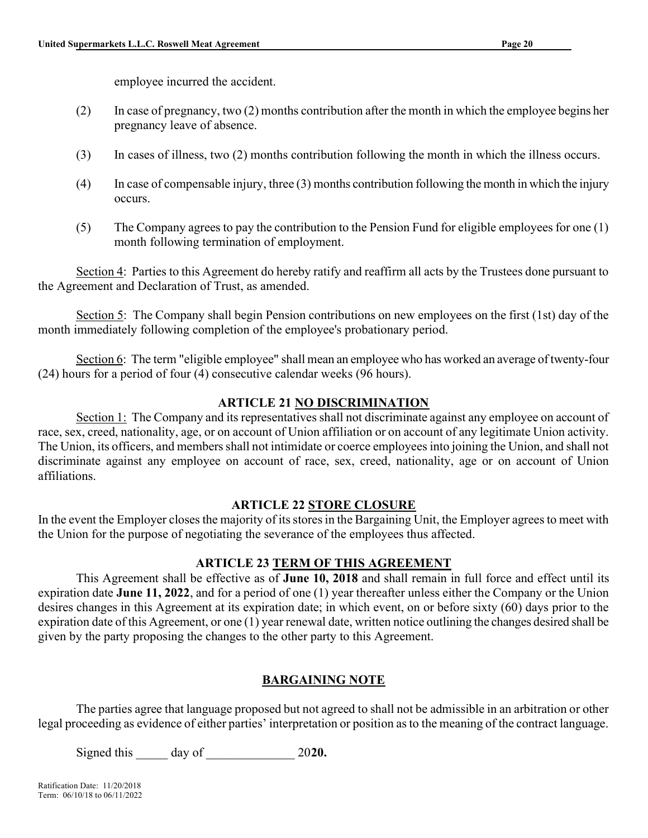employee incurred the accident.

- (2) In case of pregnancy, two (2) months contribution after the month in which the employee begins her pregnancy leave of absence.
- (3) In cases of illness, two (2) months contribution following the month in which the illness occurs.
- (4) In case of compensable injury, three (3) months contribution following the month in which the injury occurs.
- (5) The Company agrees to pay the contribution to the Pension Fund for eligible employees for one (1) month following termination of employment.

Section 4: Parties to this Agreement do hereby ratify and reaffirm all acts by the Trustees done pursuant to the Agreement and Declaration of Trust, as amended.

Section 5: The Company shall begin Pension contributions on new employees on the first (1st) day of the month immediately following completion of the employee's probationary period.

Section 6: The term "eligible employee" shall mean an employee who has worked an average of twenty-four (24) hours for a period of four (4) consecutive calendar weeks (96 hours).

## ARTICLE 21 NO DISCRIMINATION

Section 1: The Company and its representatives shall not discriminate against any employee on account of race, sex, creed, nationality, age, or on account of Union affiliation or on account of any legitimate Union activity. The Union, its officers, and members shall not intimidate or coerce employees into joining the Union, and shall not discriminate against any employee on account of race, sex, creed, nationality, age or on account of Union affiliations.

#### ARTICLE 22 STORE CLOSURE

In the event the Employer closes the majority of its stores in the Bargaining Unit, the Employer agrees to meet with the Union for the purpose of negotiating the severance of the employees thus affected.

#### **ARTICLE 23 TERM OF THIS AGREEMENT**

This Agreement shall be effective as of June 10, 2018 and shall remain in full force and effect until its expiration date June 11, 2022, and for a period of one (1) year thereafter unless either the Company or the Union desires changes in this Agreement at its expiration date; in which event, on or before sixty (60) days prior to the expiration date of this Agreement, or one (1) year renewal date, written notice outlining the changes desired shall be given by the party proposing the changes to the other party to this Agreement.

## BARGAINING NOTE

The parties agree that language proposed but not agreed to shall not be admissible in an arbitration or other legal proceeding as evidence of either parties' interpretation or position as to the meaning of the contract language.

Signed this day of 2020.

Ratification Date: 11/20/2018 Term: 06/10/18 to 06/11/2022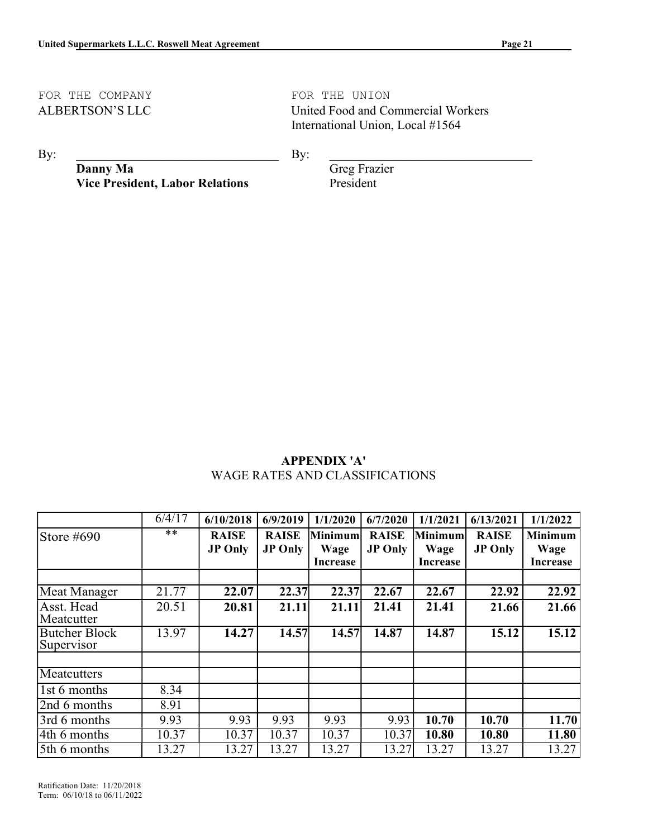# FOR THE COMPANY **FOR THE UNION**

ALBERTSON'S LLC United Food and Commercial Workers International Union, Local #1564

 $\mathbf{By:}$ 

 $\mathbf{By:}$ 

Danny Ma Vice President, Labor Relations  Greg Frazier President

## APPENDIX 'A' WAGE RATES AND CLASSIFICATIONS

|                                    | 6/4/17 | 6/10/2018      | 6/9/2019       | 1/1/2020 | 6/7/2020       | 1/1/2021 | 6/13/2021      | 1/1/2022        |
|------------------------------------|--------|----------------|----------------|----------|----------------|----------|----------------|-----------------|
| Store $#690$                       | **     | <b>RAISE</b>   | <b>RAISE</b>   | Minimum  | <b>RAISE</b>   | Minimum  | <b>RAISE</b>   | <b>Minimum</b>  |
|                                    |        | <b>JP Only</b> | <b>JP Only</b> | Wage     | <b>JP Only</b> | Wage     | <b>JP Only</b> | Wage            |
|                                    |        |                |                | Increase |                | Increase |                | <b>Increase</b> |
|                                    |        |                |                |          |                |          |                |                 |
| Meat Manager                       | 21.77  | 22.07          | 22.37          | 22.37    | 22.67          | 22.67    | 22.92          | 22.92           |
| Asst. Head                         | 20.51  | 20.81          | 21.11          | 21.11    | 21.41          | 21.41    | 21.66          | 21.66           |
| Meatcutter                         |        |                |                |          |                |          |                |                 |
| <b>Butcher Block</b><br>Supervisor | 13.97  | 14.27          | 14.57          | 14.57    | 14.87          | 14.87    | 15.12          | 15.12           |
|                                    |        |                |                |          |                |          |                |                 |
| Meatcutters                        |        |                |                |          |                |          |                |                 |
| 1st 6 months                       | 8.34   |                |                |          |                |          |                |                 |
| 2nd 6 months                       | 8.91   |                |                |          |                |          |                |                 |
| 3rd 6 months                       | 9.93   | 9.93           | 9.93           | 9.93     | 9.93           | 10.70    | 10.70          | 11.70           |
| 4th 6 months                       | 10.37  | 10.37          | 10.37          | 10.37    | 10.37          | 10.80    | 10.80          | 11.80           |
| 5th 6 months                       | 13.27  | 13.27          | 13.27          | 13.27    | 13.27          | 13.27    | 13.27          | 13.27           |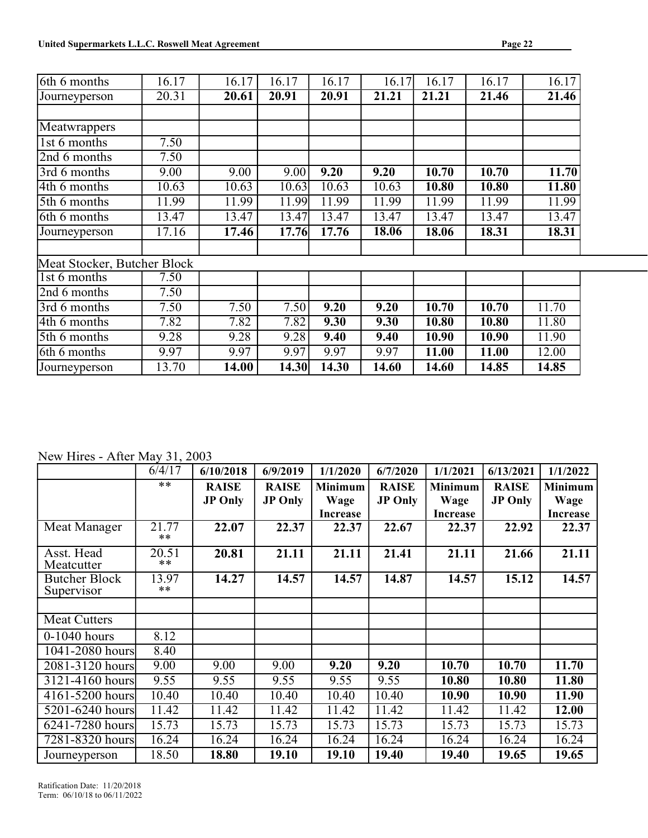| 6th 6 months                | 16.17 | 16.17 | 16.17 | 16.17 | 16.17 | 16.17 | 16.17 | 16.17 |
|-----------------------------|-------|-------|-------|-------|-------|-------|-------|-------|
| Journeyperson               | 20.31 | 20.61 | 20.91 | 20.91 | 21.21 | 21.21 | 21.46 | 21.46 |
|                             |       |       |       |       |       |       |       |       |
| Meatwrappers                |       |       |       |       |       |       |       |       |
| 1st 6 months                | 7.50  |       |       |       |       |       |       |       |
| 2nd 6 months                | 7.50  |       |       |       |       |       |       |       |
| 3rd 6 months                | 9.00  | 9.00  | 9.00  | 9.20  | 9.20  | 10.70 | 10.70 | 11.70 |
| 4th 6 months                | 10.63 | 10.63 | 10.63 | 10.63 | 10.63 | 10.80 | 10.80 | 11.80 |
| 5th 6 months                | 11.99 | 11.99 | 11.99 | 11.99 | 11.99 | 11.99 | 11.99 | 11.99 |
| 6th 6 months                | 13.47 | 13.47 | 13.47 | 13.47 | 13.47 | 13.47 | 13.47 | 13.47 |
| Journeyperson               | 17.16 | 17.46 | 17.76 | 17.76 | 18.06 | 18.06 | 18.31 | 18.31 |
|                             |       |       |       |       |       |       |       |       |
| Meat Stocker, Butcher Block |       |       |       |       |       |       |       |       |
| 1st 6 months                | 7.50  |       |       |       |       |       |       |       |
| 2nd 6 months                | 7.50  |       |       |       |       |       |       |       |
| 3rd 6 months                | 7.50  | 7.50  | 7.50  | 9.20  | 9.20  | 10.70 | 10.70 | 11.70 |
| 4th 6 months                | 7.82  | 7.82  | 7.82  | 9.30  | 9.30  | 10.80 | 10.80 | 11.80 |
| 5th 6 months                | 9.28  | 9.28  | 9.28  | 9.40  | 9.40  | 10.90 | 10.90 | 11.90 |
| 6th 6 months                | 9.97  | 9.97  | 9.97  | 9.97  | 9.97  | 11.00 | 11.00 | 12.00 |
| Journeyperson               | 13.70 | 14.00 | 14.30 | 14.30 | 14.60 | 14.60 | 14.85 | 14.85 |

New Hires - After May 31, 2003

|                                    | 6/4/17         | 6/10/2018      | 6/9/2019       | 1/1/2020        | 6/7/2020       | 1/1/2021        | 6/13/2021      | 1/1/2022        |
|------------------------------------|----------------|----------------|----------------|-----------------|----------------|-----------------|----------------|-----------------|
|                                    | $**$           | <b>RAISE</b>   | <b>RAISE</b>   | <b>Minimum</b>  | <b>RAISE</b>   | <b>Minimum</b>  | <b>RAISE</b>   | <b>Minimum</b>  |
|                                    |                | <b>JP Only</b> | <b>JP Only</b> | Wage            | <b>JP Only</b> | Wage            | <b>JP Only</b> | Wage            |
|                                    |                |                |                | <b>Increase</b> |                | <b>Increase</b> |                | <b>Increase</b> |
| Meat Manager                       | 21.77<br>$**$  | 22.07          | 22.37          | 22.37           | 22.67          | 22.37           | 22.92          | 22.37           |
| Asst. Head<br>Meatcutter           | 20.51<br>$**$  | 20.81          | 21.11          | 21.11           | 21.41          | 21.11           | 21.66          | 21.11           |
| <b>Butcher Block</b><br>Supervisor | 13.97<br>$***$ | 14.27          | 14.57          | 14.57           | 14.87          | 14.57           | 15.12          | 14.57           |
|                                    |                |                |                |                 |                |                 |                |                 |
| <b>Meat Cutters</b>                |                |                |                |                 |                |                 |                |                 |
| $0-1040$ hours                     | 8.12           |                |                |                 |                |                 |                |                 |
| 1041-2080 hours                    | 8.40           |                |                |                 |                |                 |                |                 |
| 2081-3120 hours                    | 9.00           | 9.00           | 9.00           | 9.20            | 9.20           | 10.70           | 10.70          | 11.70           |
| 3121-4160 hours                    | 9.55           | 9.55           | 9.55           | 9.55            | 9.55           | 10.80           | 10.80          | 11.80           |
| 4161-5200 hours                    | 10.40          | 10.40          | 10.40          | 10.40           | 10.40          | 10.90           | 10.90          | 11.90           |
| $\overline{5201-6240}$ hours       | 11.42          | 11.42          | 11.42          | 11.42           | 11.42          | 11.42           | 11.42          | 12.00           |
| 6241-7280 hours                    | 15.73          | 15.73          | 15.73          | 15.73           | 15.73          | 15.73           | 15.73          | 15.73           |
| 7281-8320 hours                    | 16.24          | 16.24          | 16.24          | 16.24           | 16.24          | 16.24           | 16.24          | 16.24           |
| Journeyperson                      | 18.50          | 18.80          | 19.10          | 19.10           | 19.40          | 19.40           | 19.65          | 19.65           |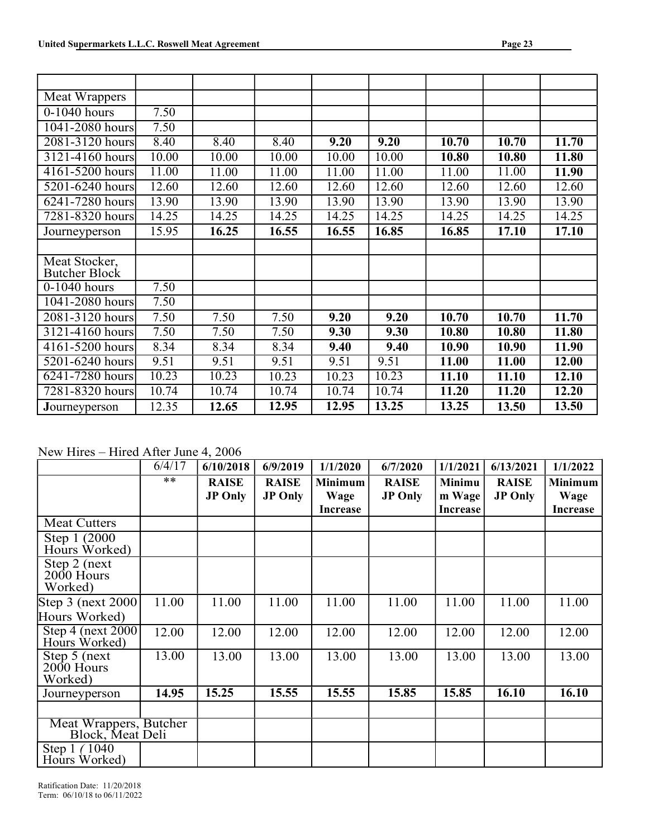| Meat Wrappers                         |       |       |       |                    |       |       |       |       |
|---------------------------------------|-------|-------|-------|--------------------|-------|-------|-------|-------|
| 0-1040 hours                          | 7.50  |       |       |                    |       |       |       |       |
| 1041-2080 hours                       | 7.50  |       |       |                    |       |       |       |       |
| 2081-3120 hours                       | 8.40  | 8.40  | 8.40  | 9.20               | 9.20  | 10.70 | 10.70 | 11.70 |
| 3121-4160 hours                       | 10.00 | 10.00 | 10.00 | 10.00              | 10.00 | 10.80 | 10.80 | 11.80 |
| 4161-5200 hours                       | 11.00 | 11.00 | 11.00 | $11.0\overline{0}$ | 11.00 | 11.00 | 11.00 | 11.90 |
| 5201-6240 hours                       | 12.60 | 12.60 | 12.60 | 12.60              | 12.60 | 12.60 | 12.60 | 12.60 |
| 6241-7280 hours                       | 13.90 | 13.90 | 13.90 | 13.90              | 13.90 | 13.90 | 13.90 | 13.90 |
| 7281-8320 hours                       | 14.25 | 14.25 | 14.25 | 14.25              | 14.25 | 14.25 | 14.25 | 14.25 |
| Journeyperson                         | 15.95 | 16.25 | 16.55 | 16.55              | 16.85 | 16.85 | 17.10 | 17.10 |
|                                       |       |       |       |                    |       |       |       |       |
| Meat Stocker,<br><b>Butcher Block</b> |       |       |       |                    |       |       |       |       |
| $0-1040$ hours                        | 7.50  |       |       |                    |       |       |       |       |
| 1041-2080 hours                       | 7.50  |       |       |                    |       |       |       |       |
| 2081-3120 hours                       | 7.50  | 7.50  | 7.50  | 9.20               | 9.20  | 10.70 | 10.70 | 11.70 |
| 3121-4160 hours                       | 7.50  | 7.50  | 7.50  | 9.30               | 9.30  | 10.80 | 10.80 | 11.80 |
| 4161-5200 hours                       | 8.34  | 8.34  | 8.34  | 9.40               | 9.40  | 10.90 | 10.90 | 11.90 |
| 5201-6240 hours                       | 9.51  | 9.51  | 9.51  | 9.51               | 9.51  | 11.00 | 11.00 | 12.00 |
| 6241-7280 hours                       | 10.23 | 10.23 | 10.23 | 10.23              | 10.23 | 11.10 | 11.10 | 12.10 |
| 7281-8320 hours                       | 10.74 | 10.74 | 10.74 | 10.74              | 10.74 | 11.20 | 11.20 | 12.20 |
| Journeyperson                         | 12.35 | 12.65 | 12.95 | 12.95              | 13.25 | 13.25 | 13.50 | 13.50 |

New Hires – Hired After June 4, 2006

|                                                           | 6/4/17 | 6/10/2018                      | 6/9/2019                       | 1/1/2020               | 6/7/2020                       | 1/1/2021                | 6/13/2021                      | 1/1/2022               |
|-----------------------------------------------------------|--------|--------------------------------|--------------------------------|------------------------|--------------------------------|-------------------------|--------------------------------|------------------------|
|                                                           | $***$  | <b>RAISE</b><br><b>JP Only</b> | <b>RAISE</b><br><b>JP Only</b> | <b>Minimum</b><br>Wage | <b>RAISE</b><br><b>JP Only</b> | <b>Minimu</b><br>m Wage | <b>RAISE</b><br><b>JP Only</b> | <b>Minimum</b><br>Wage |
|                                                           |        |                                |                                | <b>Increase</b>        |                                | <b>Increase</b>         |                                | <b>Increase</b>        |
| <b>Meat Cutters</b>                                       |        |                                |                                |                        |                                |                         |                                |                        |
| Step 1 (2000)<br>Hours Worked)                            |        |                                |                                |                        |                                |                         |                                |                        |
| $\overline{\text{Step 2}}$ (next<br>2000 Hours<br>Worked) |        |                                |                                |                        |                                |                         |                                |                        |
| Step $3$ (next 2000)<br>Hours Worked)                     | 11.00  | 11.00                          | 11.00                          | 11.00                  | 11.00                          | 11.00                   | 11.00                          | 11.00                  |
| Step 4 (next $2000$ )<br>Hours Worked)                    | 12.00  | 12.00                          | 12.00                          | 12.00                  | 12.00                          | 12.00                   | 12.00                          | 12.00                  |
| $Step 5$ (next<br>2000 Hours<br>Worked)                   | 13.00  | 13.00                          | 13.00                          | 13.00                  | 13.00                          | 13.00                   | 13.00                          | 13.00                  |
| Journeyperson                                             | 14.95  | 15.25                          | 15.55                          | 15.55                  | 15.85                          | 15.85                   | 16.10                          | 16.10                  |
| Meat Wrappers, Butcher<br>Block, Meat Deli                |        |                                |                                |                        |                                |                         |                                |                        |
| Step 1 (1040)<br>Hours Worked)                            |        |                                |                                |                        |                                |                         |                                |                        |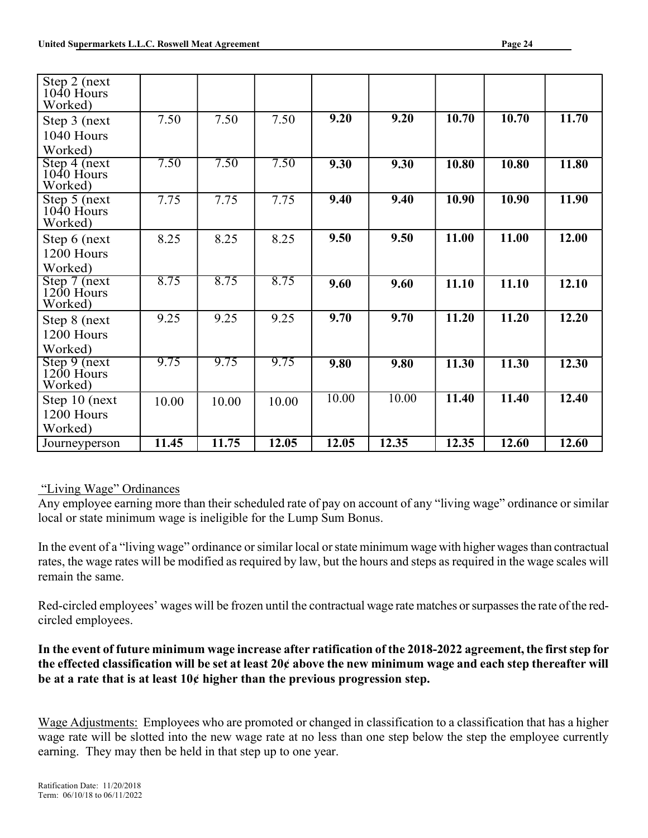| Step 2 (next)<br>1040 Hours             |       |       |       |       |       |       |       |       |
|-----------------------------------------|-------|-------|-------|-------|-------|-------|-------|-------|
| Worked)                                 |       |       |       |       |       |       |       |       |
| Step 3 (next)                           | 7.50  | 7.50  | 7.50  | 9.20  | 9.20  | 10.70 | 10.70 | 11.70 |
| 1040 Hours                              |       |       |       |       |       |       |       |       |
| Worked)                                 |       |       |       |       |       |       |       |       |
| Step 4 (next<br>$1040$ Hours<br>Worked) | 7.50  | 7.50  | 7.50  | 9.30  | 9.30  | 10.80 | 10.80 | 11.80 |
| Step 5 (next<br>$1040$ Hours<br>Worked) | 7.75  | 7.75  | 7.75  | 9.40  | 9.40  | 10.90 | 10.90 | 11.90 |
| Step 6 (next                            | 8.25  | 8.25  | 8.25  | 9.50  | 9.50  | 11.00 | 11.00 | 12.00 |
| 1200 Hours                              |       |       |       |       |       |       |       |       |
| Worked)                                 |       |       |       |       |       |       |       |       |
| Step 7 (next<br>$1200$ Hours<br>Worked) | 8.75  | 8.75  | 8.75  | 9.60  | 9.60  | 11.10 | 11.10 | 12.10 |
| Step 8 (next                            | 9.25  | 9.25  | 9.25  | 9.70  | 9.70  | 11.20 | 11.20 | 12.20 |
| 1200 Hours                              |       |       |       |       |       |       |       |       |
| Worked)                                 |       |       |       |       |       |       |       |       |
| Step 9 (next)<br>1200 Hours<br>Worked)  | 9.75  | 9.75  | 9.75  | 9.80  | 9.80  | 11.30 | 11.30 | 12.30 |
| Step 10 (next                           | 10.00 | 10.00 | 10.00 | 10.00 | 10.00 | 11.40 | 11.40 | 12.40 |
| 1200 Hours                              |       |       |       |       |       |       |       |       |
| Worked)                                 |       |       |       |       |       |       |       |       |
| Journeyperson                           | 11.45 | 11.75 | 12.05 | 12.05 | 12.35 | 12.35 | 12.60 | 12.60 |

## "Living Wage" Ordinances

Any employee earning more than their scheduled rate of pay on account of any "living wage" ordinance or similar local or state minimum wage is ineligible for the Lump Sum Bonus.

In the event of a "living wage" ordinance or similar local or state minimum wage with higher wages than contractual rates, the wage rates will be modified as required by law, but the hours and steps as required in the wage scales will remain the same.

Red-circled employees' wages will be frozen until the contractual wage rate matches or surpasses the rate of the redcircled employees.

In the event of future minimum wage increase after ratification of the 2018-2022 agreement, the first step for the effected classification will be set at least 20¢ above the new minimum wage and each step thereafter will be at a rate that is at least 10¢ higher than the previous progression step.

Wage Adjustments: Employees who are promoted or changed in classification to a classification that has a higher wage rate will be slotted into the new wage rate at no less than one step below the step the employee currently earning. They may then be held in that step up to one year.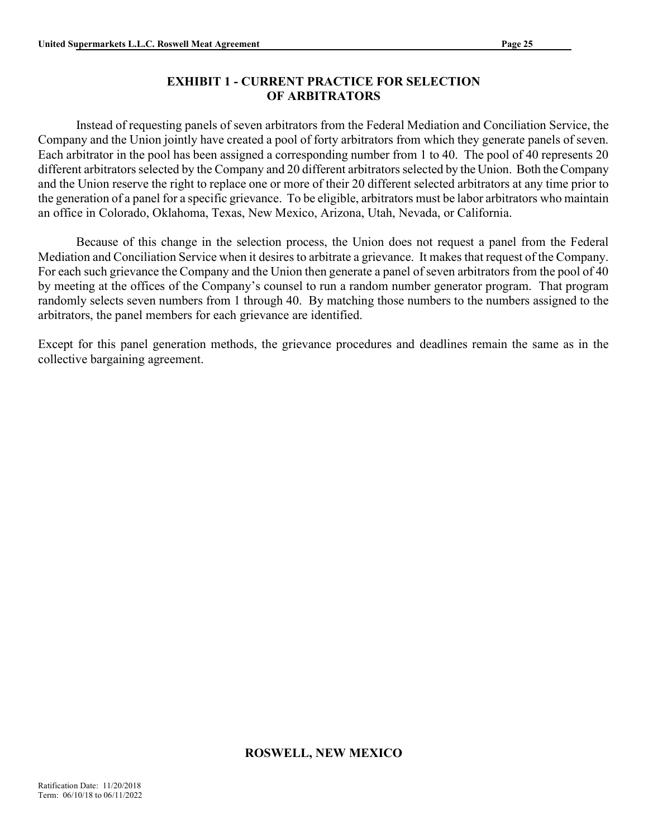## EXHIBIT 1 - CURRENT PRACTICE FOR SELECTION OF ARBITRATORS

Instead of requesting panels of seven arbitrators from the Federal Mediation and Conciliation Service, the Company and the Union jointly have created a pool of forty arbitrators from which they generate panels of seven. Each arbitrator in the pool has been assigned a corresponding number from 1 to 40. The pool of 40 represents 20 different arbitrators selected by the Company and 20 different arbitrators selected by the Union. Both the Company and the Union reserve the right to replace one or more of their 20 different selected arbitrators at any time prior to the generation of a panel for a specific grievance. To be eligible, arbitrators must be labor arbitrators who maintain an office in Colorado, Oklahoma, Texas, New Mexico, Arizona, Utah, Nevada, or California.

 Because of this change in the selection process, the Union does not request a panel from the Federal Mediation and Conciliation Service when it desires to arbitrate a grievance. It makes that request of the Company. For each such grievance the Company and the Union then generate a panel of seven arbitrators from the pool of 40 by meeting at the offices of the Company's counsel to run a random number generator program. That program randomly selects seven numbers from 1 through 40. By matching those numbers to the numbers assigned to the arbitrators, the panel members for each grievance are identified.

Except for this panel generation methods, the grievance procedures and deadlines remain the same as in the collective bargaining agreement.

## ROSWELL, NEW MEXICO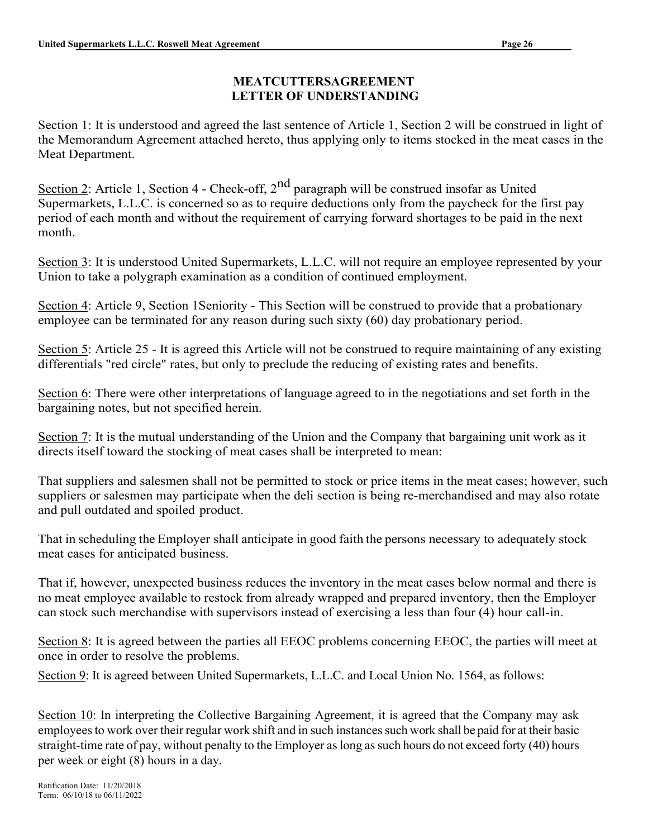## MEATCUTTERSAGREEMENT LETTER OF UNDERSTANDING

Section 1: It is understood and agreed the last sentence of Article 1, Section 2 will be construed in light of the Memorandum Agreement attached hereto, thus applying only to items stocked in the meat cases in the Meat Department.

Section 2: Article 1, Section 4 - Check-off, 2<sup>nd</sup> paragraph will be construed insofar as United Supermarkets, L.L.C. is concerned so as to require deductions only from the paycheck for the first pay period of each month and without the requirement of carrying forward shortages to be paid in the next month.

Section 3: It is understood United Supermarkets, L.L.C. will not require an employee represented by your Union to take a polygraph examination as a condition of continued employment.

Section 4: Article 9, Section 1Seniority - This Section will be construed to provide that a probationary employee can be terminated for any reason during such sixty (60) day probationary period.

Section 5: Article 25 - It is agreed this Article will not be construed to require maintaining of any existing differentials "red circle" rates, but only to preclude the reducing of existing rates and benefits.

Section 6: There were other interpretations of language agreed to in the negotiations and set forth in the bargaining notes, but not specified herein.

Section 7: It is the mutual understanding of the Union and the Company that bargaining unit work as it directs itself toward the stocking of meat cases shall be interpreted to mean:

That suppliers and salesmen shall not be permitted to stock or price items in the meat cases; however, such suppliers or salesmen may participate when the deli section is being re-merchandised and may also rotate and pull outdated and spoiled product.

That in scheduling the Employer shall anticipate in good faith the persons necessary to adequately stock meat cases for anticipated business.

That if, however, unexpected business reduces the inventory in the meat cases below normal and there is no meat employee available to restock from already wrapped and prepared inventory, then the Employer can stock such merchandise with supervisors instead of exercising a less than four (4) hour call-in.

Section 8: It is agreed between the parties all EEOC problems concerning EEOC, the parties will meet at once in order to resolve the problems.

Section 9: It is agreed between United Supermarkets, L.L.C. and Local Union No. 1564, as follows:

Section 10: In interpreting the Collective Bargaining Agreement, it is agreed that the Company may ask employees to work over their regular work shift and in such instances such work shall be paid for at their basic straight-time rate of pay, without penalty to the Employer as long as such hours do not exceed forty (40) hours per week or eight (8) hours in a day.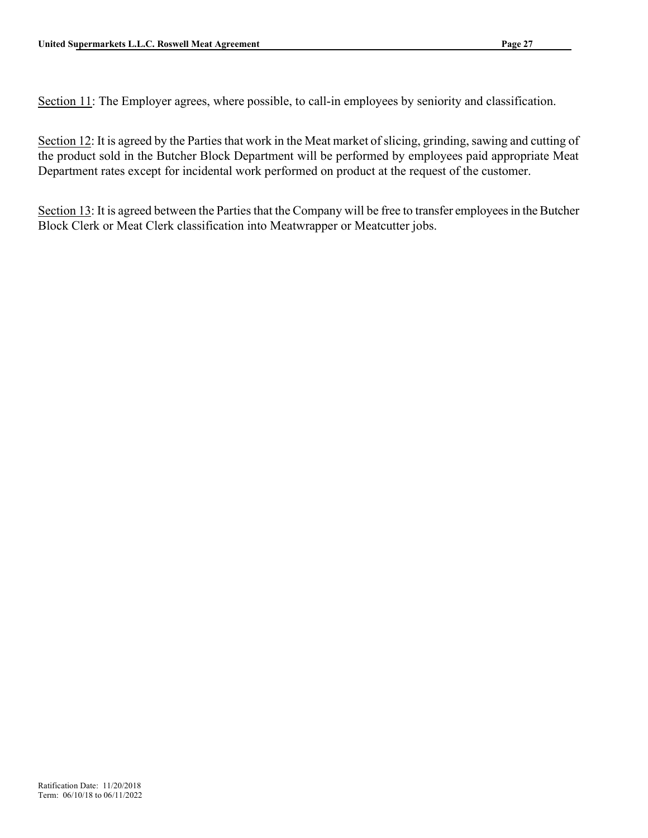Section 11: The Employer agrees, where possible, to call-in employees by seniority and classification.

Section 12: It is agreed by the Parties that work in the Meat market of slicing, grinding, sawing and cutting of the product sold in the Butcher Block Department will be performed by employees paid appropriate Meat Department rates except for incidental work performed on product at the request of the customer.

Section 13: It is agreed between the Parties that the Company will be free to transfer employees in the Butcher Block Clerk or Meat Clerk classification into Meatwrapper or Meatcutter jobs.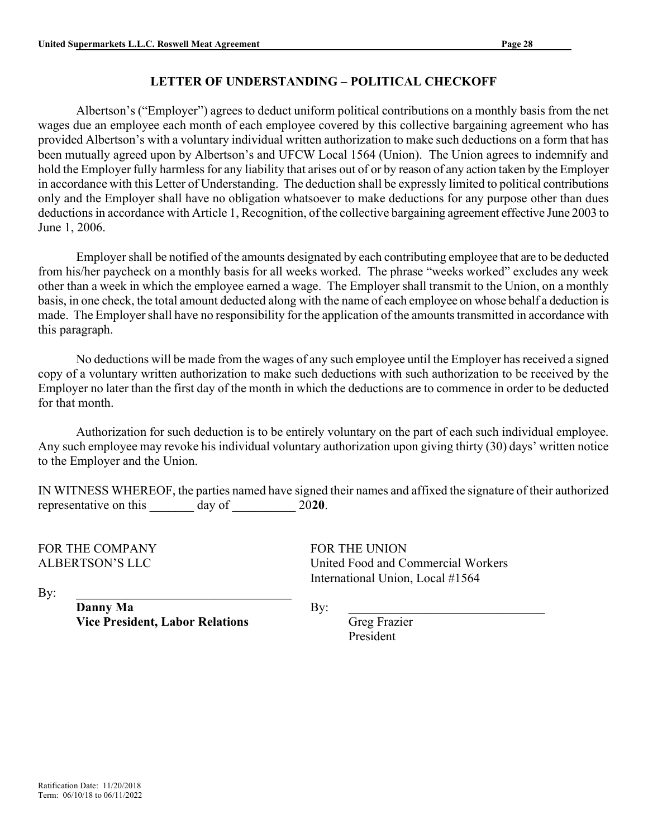## LETTER OF UNDERSTANDING – POLITICAL CHECKOFF

Albertson's ("Employer") agrees to deduct uniform political contributions on a monthly basis from the net wages due an employee each month of each employee covered by this collective bargaining agreement who has provided Albertson's with a voluntary individual written authorization to make such deductions on a form that has been mutually agreed upon by Albertson's and UFCW Local 1564 (Union). The Union agrees to indemnify and hold the Employer fully harmless for any liability that arises out of or by reason of any action taken by the Employer in accordance with this Letter of Understanding. The deduction shall be expressly limited to political contributions only and the Employer shall have no obligation whatsoever to make deductions for any purpose other than dues deductions in accordance with Article 1, Recognition, of the collective bargaining agreement effective June 2003 to June 1, 2006.

Employer shall be notified of the amounts designated by each contributing employee that are to be deducted from his/her paycheck on a monthly basis for all weeks worked. The phrase "weeks worked" excludes any week other than a week in which the employee earned a wage. The Employer shall transmit to the Union, on a monthly basis, in one check, the total amount deducted along with the name of each employee on whose behalf a deduction is made. The Employer shall have no responsibility for the application of the amounts transmitted in accordance with this paragraph.

No deductions will be made from the wages of any such employee until the Employer has received a signed copy of a voluntary written authorization to make such deductions with such authorization to be received by the Employer no later than the first day of the month in which the deductions are to commence in order to be deducted for that month.

Authorization for such deduction is to be entirely voluntary on the part of each such individual employee. Any such employee may revoke his individual voluntary authorization upon giving thirty (30) days' written notice to the Employer and the Union.

IN WITNESS WHEREOF, the parties named have signed their names and affixed the signature of their authorized representative on this day of 2020.

FOR THE COMPANY FOR THE UNION

ALBERTSON'S LLC United Food and Commercial Workers International Union, Local #1564

 $\mathbf{By:}$ 

Danny Ma Vice President, Labor Relations  $\mathbf{By:}$ 

 Greg Frazier President